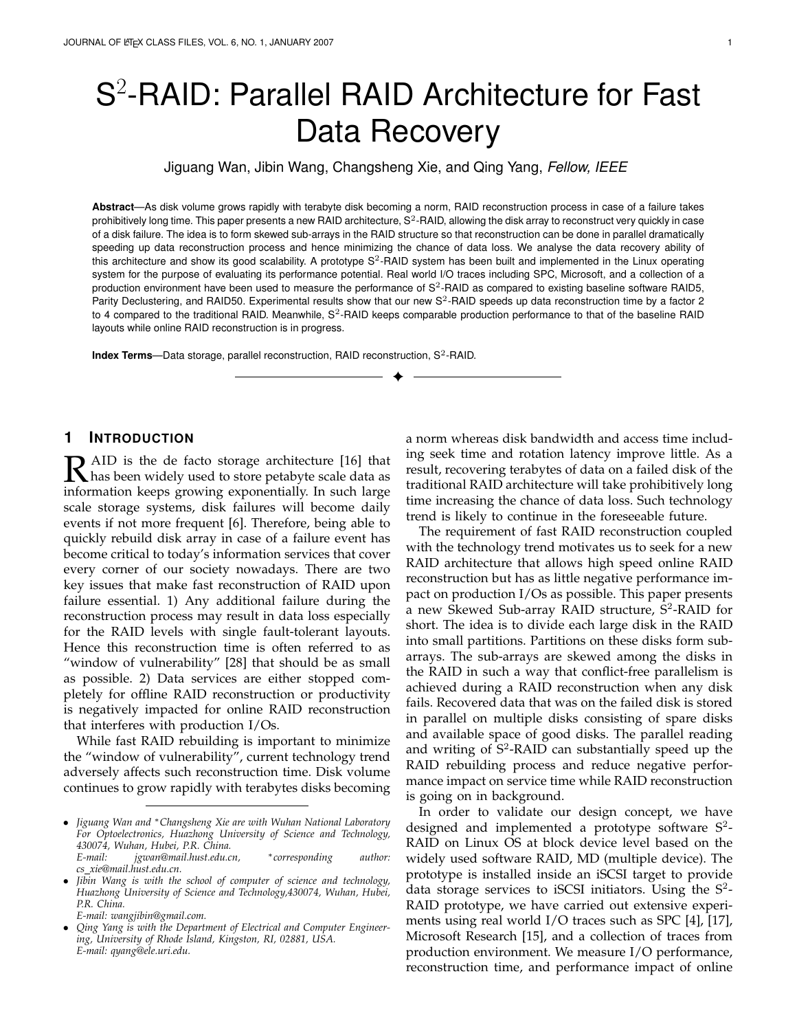# S 2 -RAID: Parallel RAID Architecture for Fast Data Recovery

Jiguang Wan, Jibin Wang, Changsheng Xie, and Qing Yang, *Fellow, IEEE*

**Abstract**—As disk volume grows rapidly with terabyte disk becoming a norm, RAID reconstruction process in case of a failure takes prohibitively long time. This paper presents a new RAID architecture,  $S^2$ -RAID, allowing the disk array to reconstruct very quickly in case of a disk failure. The idea is to form skewed sub-arrays in the RAID structure so that reconstruction can be done in parallel dramatically speeding up data reconstruction process and hence minimizing the chance of data loss. We analyse the data recovery ability of this architecture and show its good scalability. A prototype  $S^2$ -RAID system has been built and implemented in the Linux operating system for the purpose of evaluating its performance potential. Real world I/O traces including SPC, Microsoft, and a collection of a production environment have been used to measure the performance of S<sup>2</sup>-RAID as compared to existing baseline software RAID5, Parity Declustering, and RAID50. Experimental results show that our new  $S^2$ -RAID speeds up data reconstruction time by a factor 2 to 4 compared to the traditional RAID. Meanwhile, S<sup>2</sup>-RAID keeps comparable production performance to that of the baseline RAID layouts while online RAID reconstruction is in progress.

✦

Index Terms-Data storage, parallel reconstruction, RAID reconstruction, S<sup>2</sup>-RAID.

# **1 INTRODUCTION**

**R** AID is the de facto storage architecture [16] that<br>that has been widely used to store petabyte scale data as has been widely used to store petabyte scale data as information keeps growing exponentially. In such large scale storage systems, disk failures will become daily events if not more frequent [6]. Therefore, being able to quickly rebuild disk array in case of a failure event has become critical to today's information services that cover every corner of our society nowadays. There are two key issues that make fast reconstruction of RAID upon failure essential. 1) Any additional failure during the reconstruction process may result in data loss especially for the RAID levels with single fault-tolerant layouts. Hence this reconstruction time is often referred to as "window of vulnerability" [28] that should be as small as possible. 2) Data services are either stopped completely for offline RAID reconstruction or productivity is negatively impacted for online RAID reconstruction that interferes with production I/Os.

While fast RAID rebuilding is important to minimize the "window of vulnerability", current technology trend adversely affects such reconstruction time. Disk volume continues to grow rapidly with terabytes disks becoming

*E-mail: wangjibin@gmail.com.*

a norm whereas disk bandwidth and access time including seek time and rotation latency improve little. As a result, recovering terabytes of data on a failed disk of the traditional RAID architecture will take prohibitively long time increasing the chance of data loss. Such technology trend is likely to continue in the foreseeable future.

The requirement of fast RAID reconstruction coupled with the technology trend motivates us to seek for a new RAID architecture that allows high speed online RAID reconstruction but has as little negative performance impact on production I/Os as possible. This paper presents a new Skewed Sub-array RAID structure,  $\overline{S}^2$ -RAID for short. The idea is to divide each large disk in the RAID into small partitions. Partitions on these disks form subarrays. The sub-arrays are skewed among the disks in the RAID in such a way that conflict-free parallelism is achieved during a RAID reconstruction when any disk fails. Recovered data that was on the failed disk is stored in parallel on multiple disks consisting of spare disks and available space of good disks. The parallel reading and writing of S<sup>2</sup>-RAID can substantially speed up the RAID rebuilding process and reduce negative performance impact on service time while RAID reconstruction is going on in background.

In order to validate our design concept, we have designed and implemented a prototype software  $S^2$ -RAID on Linux OS at block device level based on the widely used software RAID, MD (multiple device). The prototype is installed inside an iSCSI target to provide data storage services to iSCSI initiators. Using the  $S^2$ -RAID prototype, we have carried out extensive experiments using real world I/O traces such as SPC [4], [17], Microsoft Research [15], and a collection of traces from production environment. We measure I/O performance, reconstruction time, and performance impact of online

*<sup>•</sup> Jiguang Wan and <sup>∗</sup>Changsheng Xie are with Wuhan National Laboratory For Optoelectronics, Huazhong University of Science and Technology, 430074, Wuhan, Hubei, P.R. China. E-mail: jgwan@mail.hust.edu.cn, ∗corresponding author:*

*cs xie@mail.hust.edu.cn.*

*<sup>•</sup> Jibin Wang is with the school of computer of science and technology, Huazhong University of Science and Technology,430074, Wuhan, Hubei, P.R. China.*

*<sup>•</sup> Qing Yang is with the Department of Electrical and Computer Engineer-ing, University of Rhode Island, Kingston, RI, 02881, USA. E-mail: qyang@ele.uri.edu.*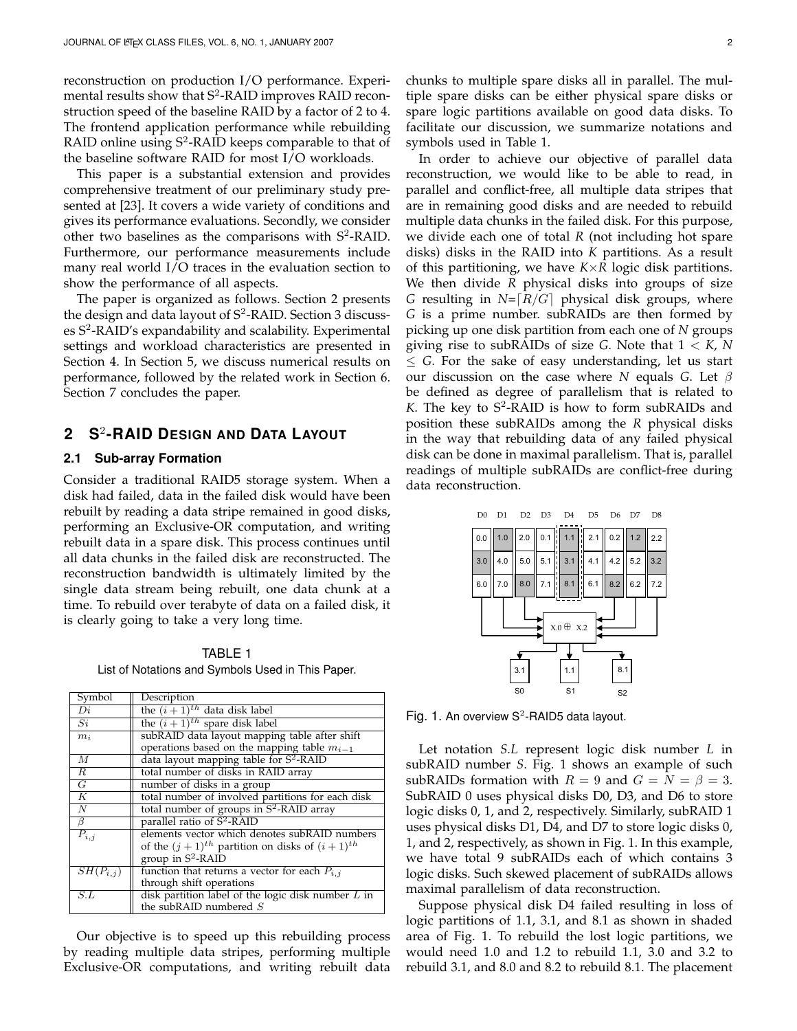reconstruction on production I/O performance. Experimental results show that S<sup>2</sup>-RAID improves RAID reconstruction speed of the baseline RAID by a factor of 2 to 4. The frontend application performance while rebuilding RAID online using  $S^2$ -RAID keeps comparable to that of the baseline software RAID for most I/O workloads.

This paper is a substantial extension and provides comprehensive treatment of our preliminary study presented at [23]. It covers a wide variety of conditions and gives its performance evaluations. Secondly, we consider other two baselines as the comparisons with  $S^2$ -RAID. Furthermore, our performance measurements include many real world I/O traces in the evaluation section to show the performance of all aspects.

The paper is organized as follows. Section 2 presents the design and data layout of  $S^2$ -RAID. Section 3 discusses S<sup>2</sup>-RAID's expandability and scalability. Experimental settings and workload characteristics are presented in Section 4. In Section 5, we discuss numerical results on performance, followed by the related work in Section 6. Section 7 concludes the paper.

# **2 S**<sup>2</sup> **-RAID DESIGN AND DATA LAYOUT**

#### **2.1 Sub-array Formation**

Consider a traditional RAID5 storage system. When a disk had failed, data in the failed disk would have been rebuilt by reading a data stripe remained in good disks, performing an Exclusive-OR computation, and writing rebuilt data in a spare disk. This process continues until all data chunks in the failed disk are reconstructed. The reconstruction bandwidth is ultimately limited by the single data stream being rebuilt, one data chunk at a time. To rebuild over terabyte of data on a failed disk, it is clearly going to take a very long time.

TABLE 1 List of Notations and Symbols Used in This Paper.

| Symbol               | Description                                                |
|----------------------|------------------------------------------------------------|
| Di                   | the $(i+1)^{th}$ data disk label                           |
| Si                   | the $(i+1)^{th}$ spare disk label                          |
| $m_i$                | subRAID data layout mapping table after shift              |
|                      | operations based on the mapping table $m_{i-1}$            |
| $\boldsymbol{M}$     | data layout mapping table for $S^2$ -RAID                  |
| $\overline{R}$       | total number of disks in RAID array                        |
| $\overline{G}$       | number of disks in a group                                 |
| $\overline{K}$       | total number of involved partitions for each disk          |
| $\overline{N}$       | total number of groups in S <sup>2</sup> -RAID array       |
| $\beta$              | parallel ratio of $S^2$ -RAID                              |
| $\overline{P_{i,j}}$ | elements vector which denotes subRAID numbers              |
|                      | of the $(j + 1)^{th}$ partition on disks of $(i + 1)^{th}$ |
|                      | group in $S^2$ -RAID                                       |
| $SH(P_{i,j})$        | function that returns a vector for each $P_{i,j}$          |
|                      | through shift operations                                   |
| S.L                  | disk partition label of the logic disk number $L$ in       |
|                      | the subRAID numbered S                                     |

Our objective is to speed up this rebuilding process by reading multiple data stripes, performing multiple Exclusive-OR computations, and writing rebuilt data chunks to multiple spare disks all in parallel. The multiple spare disks can be either physical spare disks or spare logic partitions available on good data disks. To facilitate our discussion, we summarize notations and symbols used in Table 1.

In order to achieve our objective of parallel data reconstruction, we would like to be able to read, in parallel and conflict-free, all multiple data stripes that are in remaining good disks and are needed to rebuild multiple data chunks in the failed disk. For this purpose, we divide each one of total *R* (not including hot spare disks) disks in the RAID into *K* partitions. As a result of this partitioning, we have *K×R* logic disk partitions. We then divide *R* physical disks into groups of size *G* resulting in  $N = [R/G]$  physical disk groups, where *G* is a prime number. subRAIDs are then formed by picking up one disk partition from each one of *N* groups giving rise to subRAIDs of size *G*. Note that 1 *< K*, *N ≤ G*. For the sake of easy understanding, let us start our discussion on the case where *N* equals *G*. Let *β* be defined as degree of parallelism that is related to  $K$ . The key to  $S^2$ -RAID is how to form subRAIDs and position these subRAIDs among the *R* physical disks in the way that rebuilding data of any failed physical disk can be done in maximal parallelism. That is, parallel readings of multiple subRAIDs are conflict-free during data reconstruction.





Fig. 1. An overview  $S^2$ -RAID5 data layout.

Let notation *S.L* represent logic disk number *L* in subRAID number *S*. Fig. 1 shows an example of such subRAIDs formation with  $R = 9$  and  $G = N = \beta = 3$ . SubRAID 0 uses physical disks D0, D3, and D6 to store logic disks 0, 1, and 2, respectively. Similarly, subRAID 1 uses physical disks D1, D4, and D7 to store logic disks 0, 1, and 2, respectively, as shown in Fig. 1. In this example, we have total 9 subRAIDs each of which contains 3 logic disks. Such skewed placement of subRAIDs allows maximal parallelism of data reconstruction.

Suppose physical disk D4 failed resulting in loss of logic partitions of 1.1, 3.1, and 8.1 as shown in shaded area of Fig. 1. To rebuild the lost logic partitions, we would need 1.0 and 1.2 to rebuild 1.1, 3.0 and 3.2 to rebuild 3.1, and 8.0 and 8.2 to rebuild 8.1. The placement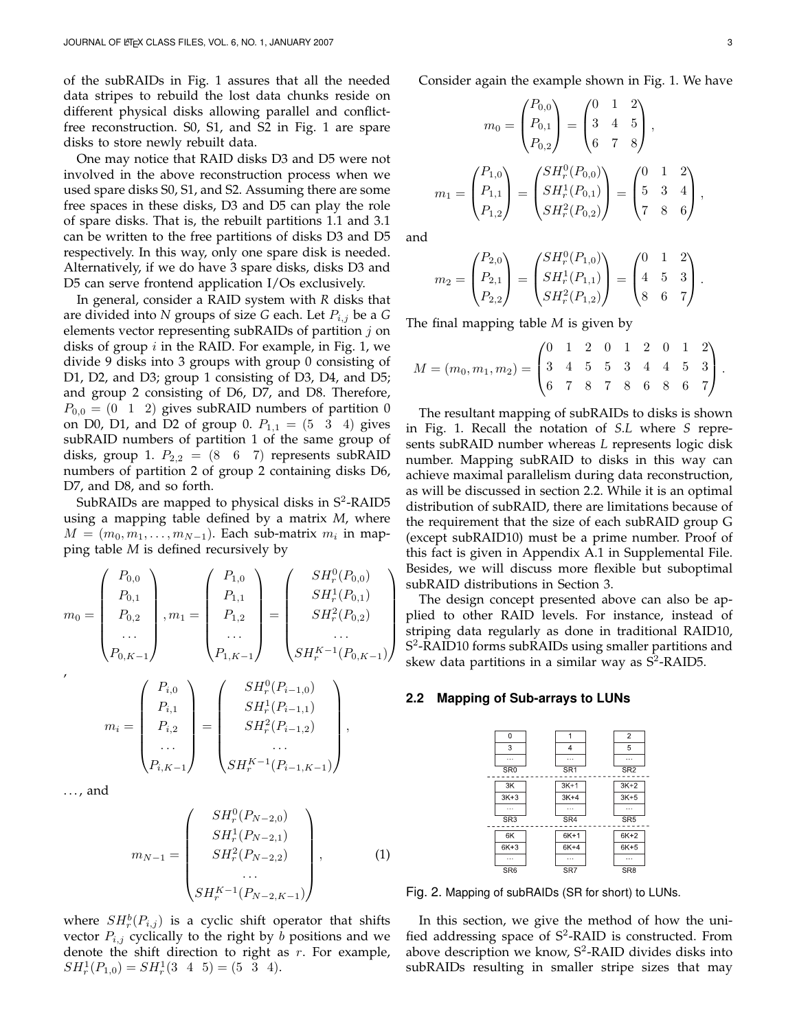of the subRAIDs in Fig. 1 assures that all the needed data stripes to rebuild the lost data chunks reside on different physical disks allowing parallel and conflictfree reconstruction. S0, S1, and S2 in Fig. 1 are spare disks to store newly rebuilt data.

One may notice that RAID disks D3 and D5 were not involved in the above reconstruction process when we used spare disks S0, S1, and S2. Assuming there are some free spaces in these disks, D3 and D5 can play the role of spare disks. That is, the rebuilt partitions 1.1 and 3.1 can be written to the free partitions of disks D3 and D5 respectively. In this way, only one spare disk is needed. Alternatively, if we do have 3 spare disks, disks D3 and D5 can serve frontend application I/Os exclusively.

In general, consider a RAID system with *R* disks that are divided into *N* groups of size *G* each. Let *Pi,j* be a *G* elements vector representing subRAIDs of partition *j* on disks of group *i* in the RAID. For example, in Fig. 1, we divide 9 disks into 3 groups with group 0 consisting of D1, D2, and D3; group 1 consisting of D3, D4, and D5; and group 2 consisting of D6, D7, and D8. Therefore,  $P_{0,0} = (0 \ 1 \ 2)$  gives subRAID numbers of partition 0 on D0, D1, and D2 of group 0.  $P_{1,1} = (5 \ 3 \ 4)$  gives subRAID numbers of partition 1 of the same group of disks, group 1.  $P_{2,2} = (8 \ 6 \ 7)$  represents subRAID numbers of partition 2 of group 2 containing disks D6, D7, and D8, and so forth.

SubRAIDs are mapped to physical disks in S<sup>2</sup>-RAID5 using a mapping table defined by a matrix *M*, where  $M = (m_0, m_1, \ldots, m_{N-1})$ . Each sub-matrix  $m_i$  in mapping table *M* is defined recursively by

$$
m_0 = \begin{pmatrix} P_{0,0} \\ P_{0,1} \\ P_{0,2} \\ \cdots \\ P_{0,K-1} \end{pmatrix}, m_1 = \begin{pmatrix} P_{1,0} \\ P_{1,1} \\ P_{1,2} \\ \cdots \\ P_{1,K-1} \end{pmatrix} = \begin{pmatrix} SH_r^0(P_{0,0}) \\ SH_r^1(P_{0,1}) \\ SH_r^2(P_{0,2}) \\ \cdots \\ SH_r^{K-1}(P_{0,K-1}) \end{pmatrix}
$$

$$
m_{i} = \begin{pmatrix} P_{i,0} \\ P_{i,1} \\ P_{i,2} \\ \cdots \\ P_{i,K-1} \end{pmatrix} = \begin{pmatrix} SH_{r}^{0}(P_{i-1,0}) \\ SH_{r}^{1}(P_{i-1,1}) \\ SH_{r}^{2}(P_{i-1,2}) \\ \cdots \\ SH_{r}^{K-1}(P_{i-1,K-1}) \end{pmatrix},
$$

. . . , and

$$
m_{N-1} = \begin{pmatrix} SH_r^0(P_{N-2,0}) \\ SH_r^1(P_{N-2,1}) \\ SH_r^2(P_{N-2,2}) \\ \dots \\ SH_r^{K-1}(P_{N-2,K-1}) \end{pmatrix},
$$
 (1)

where  $SH_r^b(P_{i,j})$  is a cyclic shift operator that shifts vector  $P_{i,j}$  cyclically to the right by *b* positions and we denote the shift direction to right as *r*. For example,  $SH_r^1(P_{1,0}) = SH_r^1(3 \ 4 \ 5) = (5 \ 3 \ 4).$ 

Consider again the example shown in Fig. 1. We have

$$
m_0 = \begin{pmatrix} P_{0,0} \\ P_{0,1} \\ P_{0,2} \end{pmatrix} = \begin{pmatrix} 0 & 1 & 2 \\ 3 & 4 & 5 \\ 6 & 7 & 8 \end{pmatrix},
$$

$$
m_1 = \begin{pmatrix} P_{1,0} \\ P_{1,1} \\ P_{1,2} \end{pmatrix} = \begin{pmatrix} SH_r^0(P_{0,0}) \\ SH_r^1(P_{0,1}) \\ SH_r^2(P_{0,2}) \end{pmatrix} = \begin{pmatrix} 0 & 1 & 2 \\ 5 & 3 & 4 \\ 7 & 8 & 6 \end{pmatrix},
$$

and

$$
m_2 = \begin{pmatrix} P_{2,0} \\ P_{2,1} \\ P_{2,2} \end{pmatrix} = \begin{pmatrix} SH_r^0(P_{1,0}) \\ SH_r^1(P_{1,1}) \\ SH_r^2(P_{1,2}) \end{pmatrix} = \begin{pmatrix} 0 & 1 & 2 \\ 4 & 5 & 3 \\ 8 & 6 & 7 \end{pmatrix}.
$$

The final mapping table *M* is given by

$$
M = (m_0, m_1, m_2) = \begin{pmatrix} 0 & 1 & 2 & 0 & 1 & 2 & 0 & 1 & 2 \\ 3 & 4 & 5 & 5 & 3 & 4 & 4 & 5 & 3 \\ 6 & 7 & 8 & 7 & 8 & 6 & 8 & 6 & 7 \end{pmatrix}.
$$

The resultant mapping of subRAIDs to disks is shown in Fig. 1. Recall the notation of *S.L* where *S* represents subRAID number whereas *L* represents logic disk number. Mapping subRAID to disks in this way can achieve maximal parallelism during data reconstruction, as will be discussed in section 2.2. While it is an optimal distribution of subRAID, there are limitations because of the requirement that the size of each subRAID group G (except subRAID10) must be a prime number. Proof of this fact is given in Appendix A.1 in Supplemental File. Besides, we will discuss more flexible but suboptimal subRAID distributions in Section 3.

The design concept presented above can also be applied to other RAID levels. For instance, instead of striping data regularly as done in traditional RAID10, S<sup>2</sup>-RAID10 forms subRAIDs using smaller partitions and skew data partitions in a similar way as  $S^2$ -RAID5.

#### **2.2 Mapping of Sub-arrays to LUNs**



Fig. 2. Mapping of subRAIDs (SR for short) to LUNs.

In this section, we give the method of how the unified addressing space of  $S^2$ -RAID is constructed. From above description we know,  $S^2$ -RAID divides disks into subRAIDs resulting in smaller stripe sizes that may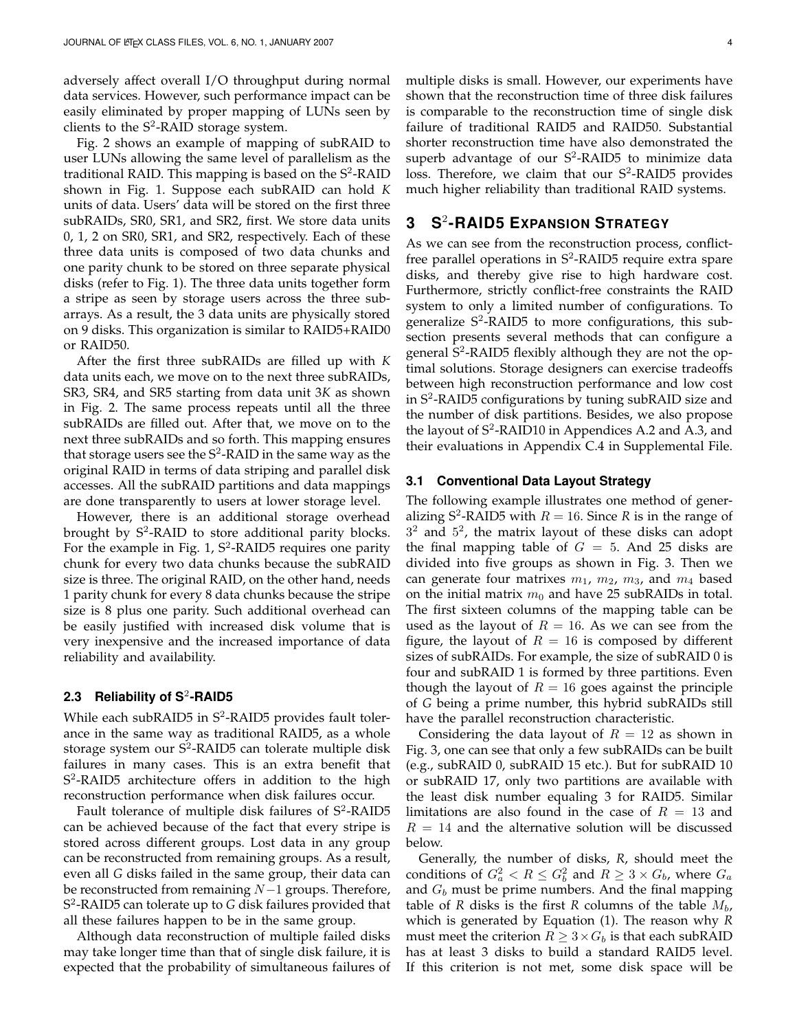adversely affect overall I/O throughput during normal data services. However, such performance impact can be easily eliminated by proper mapping of LUNs seen by clients to the  $S^2$ -RAID storage system.

Fig. 2 shows an example of mapping of subRAID to user LUNs allowing the same level of parallelism as the traditional RAID. This mapping is based on the  $S^2$ -RAID shown in Fig. 1. Suppose each subRAID can hold *K* units of data. Users' data will be stored on the first three subRAIDs, SR0, SR1, and SR2, first. We store data units 0, 1, 2 on SR0, SR1, and SR2, respectively. Each of these three data units is composed of two data chunks and one parity chunk to be stored on three separate physical disks (refer to Fig. 1). The three data units together form a stripe as seen by storage users across the three subarrays. As a result, the 3 data units are physically stored on 9 disks. This organization is similar to RAID5+RAID0 or RAID50.

After the first three subRAIDs are filled up with *K* data units each, we move on to the next three subRAIDs, SR3, SR4, and SR5 starting from data unit 3*K* as shown in Fig. 2. The same process repeats until all the three subRAIDs are filled out. After that, we move on to the next three subRAIDs and so forth. This mapping ensures that storage users see the  $S^2$ -RAID in the same way as the original RAID in terms of data striping and parallel disk accesses. All the subRAID partitions and data mappings are done transparently to users at lower storage level.

However, there is an additional storage overhead brought by  $S^2$ -RAID to store additional parity blocks. For the example in Fig.  $1, S<sup>2</sup>$ -RAID5 requires one parity chunk for every two data chunks because the subRAID size is three. The original RAID, on the other hand, needs 1 parity chunk for every 8 data chunks because the stripe size is 8 plus one parity. Such additional overhead can be easily justified with increased disk volume that is very inexpensive and the increased importance of data reliability and availability.

## **2.3 Reliability of S**<sup>2</sup> **-RAID5**

While each subRAID5 in S<sup>2</sup>-RAID5 provides fault tolerance in the same way as traditional RAID5, as a whole storage system our  $S^2$ -RAID5 can tolerate multiple disk failures in many cases. This is an extra benefit that S<sup>2</sup>-RAID5 architecture offers in addition to the high reconstruction performance when disk failures occur.

Fault tolerance of multiple disk failures of S<sup>2</sup>-RAID5 can be achieved because of the fact that every stripe is stored across different groups. Lost data in any group can be reconstructed from remaining groups. As a result, even all *G* disks failed in the same group, their data can be reconstructed from remaining *N−*1 groups. Therefore, S 2 -RAID5 can tolerate up to *G* disk failures provided that all these failures happen to be in the same group.

Although data reconstruction of multiple failed disks may take longer time than that of single disk failure, it is expected that the probability of simultaneous failures of multiple disks is small. However, our experiments have shown that the reconstruction time of three disk failures is comparable to the reconstruction time of single disk failure of traditional RAID5 and RAID50. Substantial shorter reconstruction time have also demonstrated the superb advantage of our  $S^2$ -RAID5 to minimize data loss. Therefore, we claim that our  $S^2$ -RAID5 provides much higher reliability than traditional RAID systems.

# **3 S**<sup>2</sup> **-RAID5 EXPANSION STRATEGY**

As we can see from the reconstruction process, conflictfree parallel operations in S<sup>2</sup>-RAID5 require extra spare disks, and thereby give rise to high hardware cost. Furthermore, strictly conflict-free constraints the RAID system to only a limited number of configurations. To generalize  $S^2$ -RAID5 to more configurations, this subsection presents several methods that can configure a general S<sup>2</sup>-RAID5 flexibly although they are not the optimal solutions. Storage designers can exercise tradeoffs between high reconstruction performance and low cost in S<sup>2</sup>-RAID5 configurations by tuning subRAID size and the number of disk partitions. Besides, we also propose the layout of  $S^2$ -RAID10 in Appendices A.2 and A.3, and their evaluations in Appendix C.4 in Supplemental File.

#### **3.1 Conventional Data Layout Strategy**

The following example illustrates one method of generalizing  $S^2$ -RAID5 with  $R = 16$ . Since *R* is in the range of  $3<sup>2</sup>$  and  $5<sup>2</sup>$ , the matrix layout of these disks can adopt the final mapping table of  $G = 5$ . And 25 disks are divided into five groups as shown in Fig. 3. Then we can generate four matrixes  $m_1$ ,  $m_2$ ,  $m_3$ , and  $m_4$  based on the initial matrix  $m_0$  and have 25 subRAIDs in total. The first sixteen columns of the mapping table can be used as the layout of  $R = 16$ . As we can see from the figure, the layout of  $R = 16$  is composed by different sizes of subRAIDs. For example, the size of subRAID 0 is four and subRAID 1 is formed by three partitions. Even though the layout of  $R = 16$  goes against the principle of *G* being a prime number, this hybrid subRAIDs still have the parallel reconstruction characteristic.

Considering the data layout of  $R = 12$  as shown in Fig. 3, one can see that only a few subRAIDs can be built (e.g., subRAID 0, subRAID 15 etc.). But for subRAID 10 or subRAID 17, only two partitions are available with the least disk number equaling 3 for RAID5. Similar limitations are also found in the case of  $R = 13$  and  $R = 14$  and the alternative solution will be discussed below.

Generally, the number of disks, *R*, should meet the conditions of  $G_a^2 < R \le G_b^2$  and  $R \ge 3 \times G_b$ , where  $G_a$ and *G<sup>b</sup>* must be prime numbers. And the final mapping table of *R* disks is the first *R* columns of the table *Mb*, which is generated by Equation (1). The reason why *R* must meet the criterion  $R \geq 3 \times G_b$  is that each subRAID has at least 3 disks to build a standard RAID5 level. If this criterion is not met, some disk space will be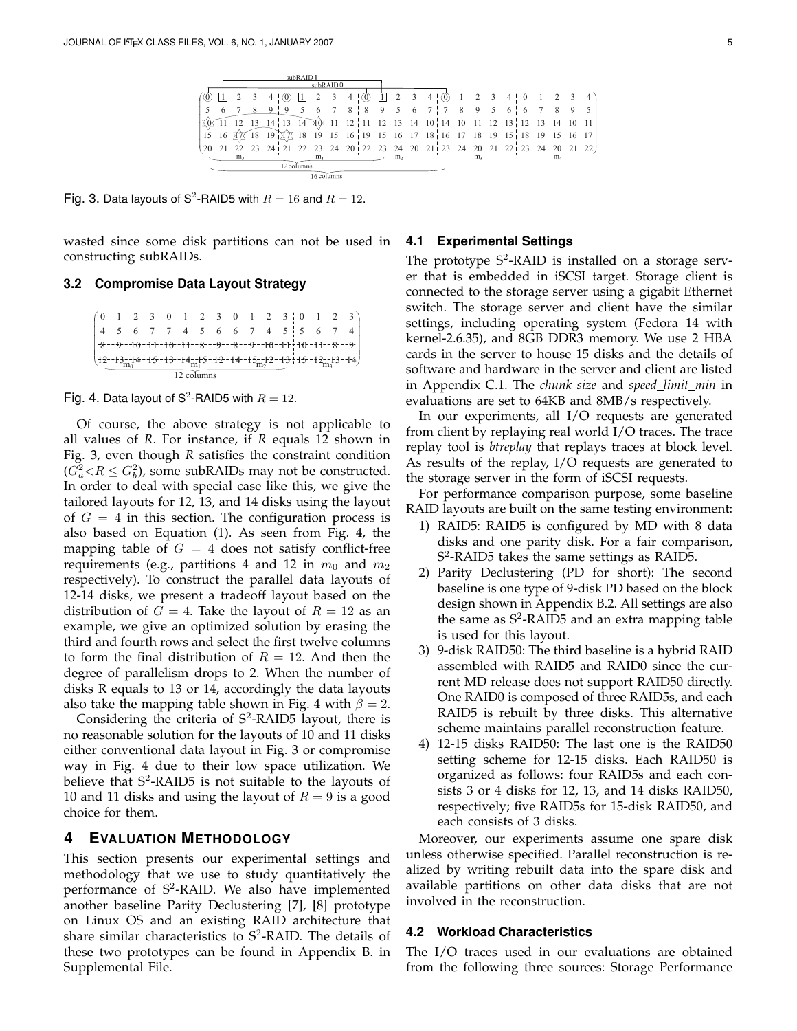

Fig. 3. Data layouts of S<sup>2</sup>-RAID5 with  $R = 16$  and  $R = 12$ .

wasted since some disk partitions can not be used in constructing subRAIDs.

#### **3.2 Compromise Data Layout Strategy**

```
\mathbf{I}\mathbf{I}\mathbf{I}\mathbf{I}\left(12 - 13 - 14 - 15 + 13 - 14 - 15 - 12 + 14 - 15 - 12 - 13 + 15 - 12 - 13 - 14\right)(0 \t1 \t2 \t3 \t1 \t0 \t1 \t2 \t3 \t1 \t0 \t1 \t2 \t3 \t1 \t0 \t1 \t2 \t3)8-9-10-11+10-11-8-9+8-9-10-11+10-11-8-9#
#
4 5 6 7 7 4 5 6 6 7 4 5 5 6 7 4
                    12 columns
```


Of course, the above strategy is not applicable to all values of *R*. For instance, if *R* equals 12 shown in Fig. 3, even though *R* satisfies the constraint condition  $(G_a^2 < R \le G_b^2)$ , some subRAIDs may not be constructed. In order to deal with special case like this, we give the tailored layouts for 12, 13, and 14 disks using the layout of  $G = 4$  in this section. The configuration process is also based on Equation (1). As seen from Fig. 4, the mapping table of  $G = 4$  does not satisfy conflict-free requirements (e.g., partitions 4 and 12 in  $m_0$  and  $m_2$ respectively). To construct the parallel data layouts of 12-14 disks, we present a tradeoff layout based on the distribution of  $G = 4$ . Take the layout of  $R = 12$  as an example, we give an optimized solution by erasing the third and fourth rows and select the first twelve columns to form the final distribution of  $R = 12$ . And then the degree of parallelism drops to 2. When the number of disks R equals to 13 or 14, accordingly the data layouts also take the mapping table shown in Fig. 4 with  $\beta = 2$ .

Considering the criteria of  $S^2$ -RAID5 layout, there is no reasonable solution for the layouts of 10 and 11 disks either conventional data layout in Fig. 3 or compromise way in Fig. 4 due to their low space utilization. We believe that  $S^2$ -RAID5 is not suitable to the layouts of 10 and 11 disks and using the layout of  $R = 9$  is a good choice for them.

#### **4 EVALUATION METHODOLOGY**

This section presents our experimental settings and methodology that we use to study quantitatively the performance of S<sup>2</sup>-RAID. We also have implemented another baseline Parity Declustering [7], [8] prototype on Linux OS and an existing RAID architecture that share similar characteristics to  $S^2$ -RAID. The details of these two prototypes can be found in Appendix B. in Supplemental File.

#### **4.1 Experimental Settings**

The prototype  $S^2$ -RAID is installed on a storage server that is embedded in iSCSI target. Storage client is connected to the storage server using a gigabit Ethernet switch. The storage server and client have the similar settings, including operating system (Fedora 14 with kernel-2.6.35), and 8GB DDR3 memory. We use 2 HBA cards in the server to house 15 disks and the details of software and hardware in the server and client are listed in Appendix C.1. The *chunk size* and *speed limit min* in evaluations are set to 64KB and 8MB/s respectively.

In our experiments, all I/O requests are generated from client by replaying real world I/O traces. The trace replay tool is *btreplay* that replays traces at block level. As results of the replay, I/O requests are generated to the storage server in the form of iSCSI requests.

For performance comparison purpose, some baseline RAID layouts are built on the same testing environment:

- 1) RAID5: RAID5 is configured by MD with 8 data disks and one parity disk. For a fair comparison, S 2 -RAID5 takes the same settings as RAID5.
- 2) Parity Declustering (PD for short): The second baseline is one type of 9-disk PD based on the block design shown in Appendix B.2. All settings are also the same as  $S^2$ -RAID5 and an extra mapping table is used for this layout.
- 3) 9-disk RAID50: The third baseline is a hybrid RAID assembled with RAID5 and RAID0 since the current MD release does not support RAID50 directly. One RAID0 is composed of three RAID5s, and each RAID5 is rebuilt by three disks. This alternative scheme maintains parallel reconstruction feature.
- 4) 12-15 disks RAID50: The last one is the RAID50 setting scheme for 12-15 disks. Each RAID50 is organized as follows: four RAID5s and each consists 3 or 4 disks for 12, 13, and 14 disks RAID50, respectively; five RAID5s for 15-disk RAID50, and each consists of 3 disks.

Moreover, our experiments assume one spare disk unless otherwise specified. Parallel reconstruction is realized by writing rebuilt data into the spare disk and available partitions on other data disks that are not involved in the reconstruction.

#### **4.2 Workload Characteristics**

The I/O traces used in our evaluations are obtained from the following three sources: Storage Performance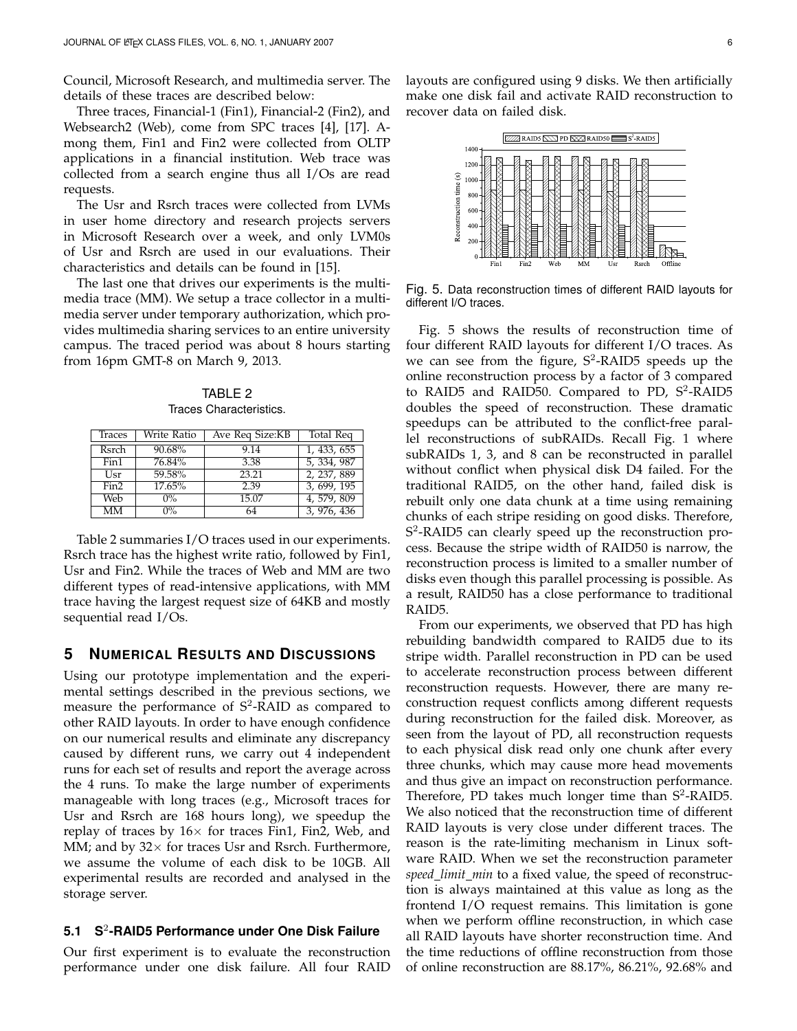Council, Microsoft Research, and multimedia server. The details of these traces are described below:

Three traces, Financial-1 (Fin1), Financial-2 (Fin2), and Websearch2 (Web), come from SPC traces [4], [17]. Among them, Fin1 and Fin2 were collected from OLTP applications in a financial institution. Web trace was collected from a search engine thus all I/Os are read requests.

The Usr and Rsrch traces were collected from LVMs in user home directory and research projects servers in Microsoft Research over a week, and only LVM0s of Usr and Rsrch are used in our evaluations. Their characteristics and details can be found in [15].

The last one that drives our experiments is the multimedia trace (MM). We setup a trace collector in a multimedia server under temporary authorization, which provides multimedia sharing services to an entire university campus. The traced period was about 8 hours starting from 16pm GMT-8 on March 9, 2013.

TABLE 2 Traces Characteristics.

| Traces    | Write Ratio | Ave Req Size:KB | <b>Total Req</b> |
|-----------|-------------|-----------------|------------------|
| Rsrch     | 90.68%      | 9.14            | 1, 433, 655      |
| Fin1      | 76.84%      | 3.38            | 5, 334, 987      |
| Usr       | 59.58%      | 23.21           | 2, 237, 889      |
| Fin2      | 17.65%      | 2.39            | 3, 699, 195      |
| Web       | $0\%$       | 15.07           | 4, 579, 809      |
| <b>MM</b> | $0\%$       | 64              | 3, 976, 436      |

Table 2 summaries I/O traces used in our experiments. Rsrch trace has the highest write ratio, followed by Fin1, Usr and Fin2. While the traces of Web and MM are two different types of read-intensive applications, with MM trace having the largest request size of 64KB and mostly sequential read I/Os.

## **5 NUMERICAL RESULTS AND DISCUSSIONS**

Using our prototype implementation and the experimental settings described in the previous sections, we measure the performance of  $S^2$ -RAID as compared to other RAID layouts. In order to have enough confidence on our numerical results and eliminate any discrepancy caused by different runs, we carry out 4 independent runs for each set of results and report the average across the 4 runs. To make the large number of experiments manageable with long traces (e.g., Microsoft traces for Usr and Rsrch are 168 hours long), we speedup the replay of traces by 16*×* for traces Fin1, Fin2, Web, and MM; and by 32*×* for traces Usr and Rsrch. Furthermore, we assume the volume of each disk to be 10GB. All experimental results are recorded and analysed in the storage server.

## **5.1 S**<sup>2</sup> **-RAID5 Performance under One Disk Failure**

Our first experiment is to evaluate the reconstruction performance under one disk failure. All four RAID layouts are configured using 9 disks. We then artificially make one disk fail and activate RAID reconstruction to recover data on failed disk.



Fig. 5. Data reconstruction times of different RAID layouts for different I/O traces.

Fig. 5 shows the results of reconstruction time of four different RAID layouts for different I/O traces. As we can see from the figure,  $S^2$ -RAID5 speeds up the online reconstruction process by a factor of 3 compared to RAID5 and RAID50. Compared to PD, S<sup>2</sup>-RAID5 doubles the speed of reconstruction. These dramatic speedups can be attributed to the conflict-free parallel reconstructions of subRAIDs. Recall Fig. 1 where subRAIDs 1, 3, and 8 can be reconstructed in parallel without conflict when physical disk D4 failed. For the traditional RAID5, on the other hand, failed disk is rebuilt only one data chunk at a time using remaining chunks of each stripe residing on good disks. Therefore, S 2 -RAID5 can clearly speed up the reconstruction process. Because the stripe width of RAID50 is narrow, the reconstruction process is limited to a smaller number of disks even though this parallel processing is possible. As a result, RAID50 has a close performance to traditional RAID5.

From our experiments, we observed that PD has high rebuilding bandwidth compared to RAID5 due to its stripe width. Parallel reconstruction in PD can be used to accelerate reconstruction process between different reconstruction requests. However, there are many reconstruction request conflicts among different requests during reconstruction for the failed disk. Moreover, as seen from the layout of PD, all reconstruction requests to each physical disk read only one chunk after every three chunks, which may cause more head movements and thus give an impact on reconstruction performance. Therefore, PD takes much longer time than  $S^2$ -RAID5. We also noticed that the reconstruction time of different RAID layouts is very close under different traces. The reason is the rate-limiting mechanism in Linux software RAID. When we set the reconstruction parameter *speed limit min* to a fixed value, the speed of reconstruction is always maintained at this value as long as the frontend I/O request remains. This limitation is gone when we perform offline reconstruction, in which case all RAID layouts have shorter reconstruction time. And the time reductions of offline reconstruction from those of online reconstruction are 88.17%, 86.21%, 92.68% and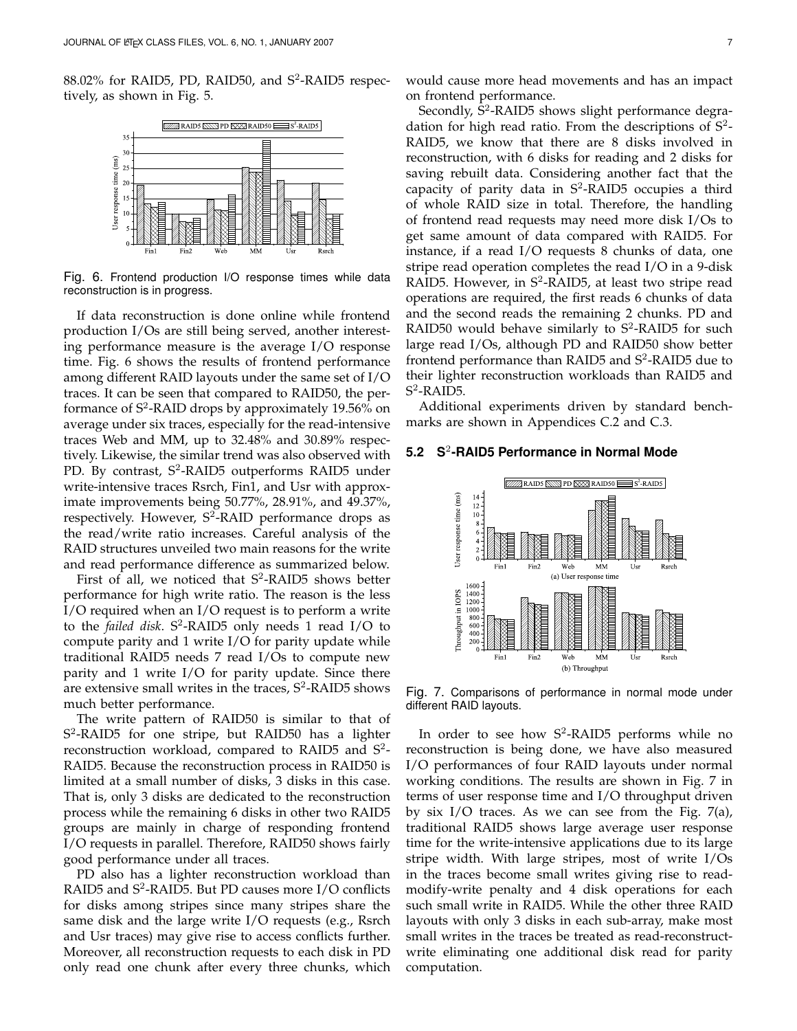88.02% for RAID5, PD, RAID50, and S<sup>2</sup>-RAID5 respectively, as shown in Fig. 5.



Fig. 6. Frontend production I/O response times while data reconstruction is in progress.

If data reconstruction is done online while frontend production I/Os are still being served, another interesting performance measure is the average I/O response time. Fig. 6 shows the results of frontend performance among different RAID layouts under the same set of I/O traces. It can be seen that compared to RAID50, the performance of S<sup>2</sup>-RAID drops by approximately 19.56% on average under six traces, especially for the read-intensive traces Web and MM, up to 32.48% and 30.89% respectively. Likewise, the similar trend was also observed with PD. By contrast, S<sup>2</sup>-RAID5 outperforms RAID5 under write-intensive traces Rsrch, Fin1, and Usr with approximate improvements being 50.77%, 28.91%, and 49.37%, respectively. However, S<sup>2</sup>-RAID performance drops as the read/write ratio increases. Careful analysis of the RAID structures unveiled two main reasons for the write and read performance difference as summarized below.

First of all, we noticed that  $S^2$ -RAID5 shows better performance for high write ratio. The reason is the less I/O required when an I/O request is to perform a write to the *failed disk*. S<sup>2</sup>-RAID5 only needs 1 read I/O to compute parity and 1 write I/O for parity update while traditional RAID5 needs 7 read I/Os to compute new parity and 1 write I/O for parity update. Since there are extensive small writes in the traces,  $S^2$ -RAID5 shows much better performance.

The write pattern of RAID50 is similar to that of S 2 -RAID5 for one stripe, but RAID50 has a lighter reconstruction workload, compared to RAID5 and S<sup>2</sup>-RAID5. Because the reconstruction process in RAID50 is limited at a small number of disks, 3 disks in this case. That is, only 3 disks are dedicated to the reconstruction process while the remaining 6 disks in other two RAID5 groups are mainly in charge of responding frontend I/O requests in parallel. Therefore, RAID50 shows fairly good performance under all traces.

PD also has a lighter reconstruction workload than RAID5 and S<sup>2</sup>-RAID5. But PD causes more I/O conflicts for disks among stripes since many stripes share the same disk and the large write I/O requests (e.g., Rsrch and Usr traces) may give rise to access conflicts further. Moreover, all reconstruction requests to each disk in PD only read one chunk after every three chunks, which

would cause more head movements and has an impact on frontend performance.

Secondly,  $\bar{S}^2$ -RAID5 shows slight performance degradation for high read ratio. From the descriptions of  $S^2$ -RAID5, we know that there are 8 disks involved in reconstruction, with 6 disks for reading and 2 disks for saving rebuilt data. Considering another fact that the capacity of parity data in  $S^2$ -RAID5 occupies a third of whole RAID size in total. Therefore, the handling of frontend read requests may need more disk I/Os to get same amount of data compared with RAID5. For instance, if a read I/O requests 8 chunks of data, one stripe read operation completes the read I/O in a 9-disk RAID5. However, in S<sup>2</sup>-RAID5, at least two stripe read operations are required, the first reads 6 chunks of data and the second reads the remaining 2 chunks. PD and RAID50 would behave similarly to  $S^2$ -RAID5 for such large read I/Os, although PD and RAID50 show better frontend performance than RAID5 and  $S^2$ -RAID5 due to their lighter reconstruction workloads than RAID5 and S 2 -RAID5.

Additional experiments driven by standard benchmarks are shown in Appendices C.2 and C.3.

## **5.2 S**<sup>2</sup> **-RAID5 Performance in Normal Mode**



Fig. 7. Comparisons of performance in normal mode under different RAID layouts.

In order to see how  $S^2$ -RAID5 performs while no reconstruction is being done, we have also measured I/O performances of four RAID layouts under normal working conditions. The results are shown in Fig. 7 in terms of user response time and I/O throughput driven by six I/O traces. As we can see from the Fig. 7(a), traditional RAID5 shows large average user response time for the write-intensive applications due to its large stripe width. With large stripes, most of write I/Os in the traces become small writes giving rise to readmodify-write penalty and 4 disk operations for each such small write in RAID5. While the other three RAID layouts with only 3 disks in each sub-array, make most small writes in the traces be treated as read-reconstructwrite eliminating one additional disk read for parity computation.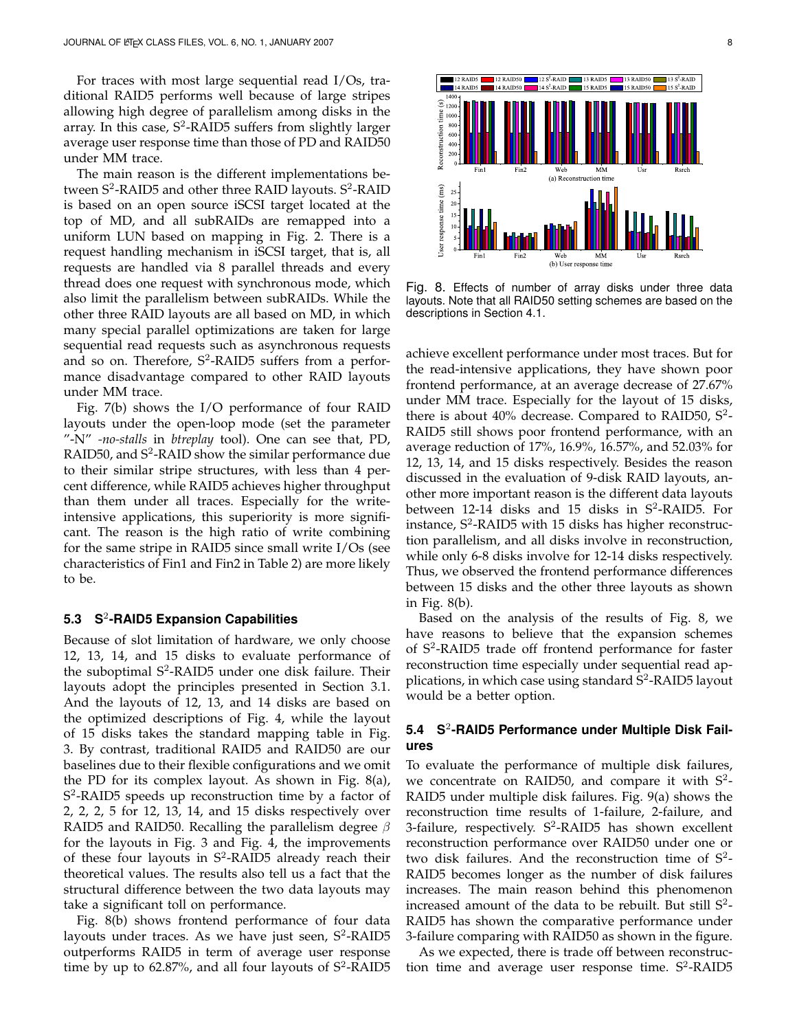For traces with most large sequential read I/Os, traditional RAID5 performs well because of large stripes allowing high degree of parallelism among disks in the array. In this case, S<sup>2</sup>-RAID5 suffers from slightly larger average user response time than those of PD and RAID50 under MM trace.

The main reason is the different implementations between  $S^2$ -RAID5 and other three RAID layouts.  $S^2$ -RAID is based on an open source iSCSI target located at the top of MD, and all subRAIDs are remapped into a uniform LUN based on mapping in Fig. 2. There is a request handling mechanism in iSCSI target, that is, all requests are handled via 8 parallel threads and every thread does one request with synchronous mode, which also limit the parallelism between subRAIDs. While the other three RAID layouts are all based on MD, in which many special parallel optimizations are taken for large sequential read requests such as asynchronous requests and so on. Therefore,  $S^2$ -RAID5 suffers from a performance disadvantage compared to other RAID layouts under MM trace.

Fig. 7(b) shows the I/O performance of four RAID layouts under the open-loop mode (set the parameter "-N" *-no-stalls* in *btreplay* tool). One can see that, PD, RAID50, and  $S^2$ -RAID show the similar performance due to their similar stripe structures, with less than 4 percent difference, while RAID5 achieves higher throughput than them under all traces. Especially for the writeintensive applications, this superiority is more significant. The reason is the high ratio of write combining for the same stripe in RAID5 since small write I/Os (see characteristics of Fin1 and Fin2 in Table 2) are more likely to be.

## **5.3 S**<sup>2</sup> **-RAID5 Expansion Capabilities**

Because of slot limitation of hardware, we only choose 12, 13, 14, and 15 disks to evaluate performance of the suboptimal S<sup>2</sup>-RAID5 under one disk failure. Their layouts adopt the principles presented in Section 3.1. And the layouts of 12, 13, and 14 disks are based on the optimized descriptions of Fig. 4, while the layout of 15 disks takes the standard mapping table in Fig. 3. By contrast, traditional RAID5 and RAID50 are our baselines due to their flexible configurations and we omit the PD for its complex layout. As shown in Fig. 8(a), S<sup>2</sup>-RAID5 speeds up reconstruction time by a factor of 2, 2, 2, 5 for 12, 13, 14, and 15 disks respectively over RAID5 and RAID50. Recalling the parallelism degree *β* for the layouts in Fig. 3 and Fig. 4, the improvements of these four layouts in  $S^2$ -RAID5 already reach their theoretical values. The results also tell us a fact that the structural difference between the two data layouts may take a significant toll on performance.

Fig. 8(b) shows frontend performance of four data layouts under traces. As we have just seen, S<sup>2</sup>-RAID5 outperforms RAID5 in term of average user response time by up to 62.87%, and all four layouts of  $S^2$ -RAID5



Fig. 8. Effects of number of array disks under three data layouts. Note that all RAID50 setting schemes are based on the descriptions in Section 4.1.

achieve excellent performance under most traces. But for the read-intensive applications, they have shown poor frontend performance, at an average decrease of 27.67% under MM trace. Especially for the layout of 15 disks, there is about 40% decrease. Compared to RAID50,  $S^2$ -RAID5 still shows poor frontend performance, with an average reduction of 17%, 16.9%, 16.57%, and 52.03% for 12, 13, 14, and 15 disks respectively. Besides the reason discussed in the evaluation of 9-disk RAID layouts, another more important reason is the different data layouts between  $12-14$  disks and 15 disks in S<sup>2</sup>-RAID5. For instance,  $S^2$ -RAID5 with 15 disks has higher reconstruction parallelism, and all disks involve in reconstruction, while only 6-8 disks involve for 12-14 disks respectively. Thus, we observed the frontend performance differences between 15 disks and the other three layouts as shown in Fig. 8(b).

Based on the analysis of the results of Fig. 8, we have reasons to believe that the expansion schemes of S<sup>2</sup>-RAID5 trade off frontend performance for faster reconstruction time especially under sequential read applications, in which case using standard  $\overline{S}^2$ -RAID5 layout would be a better option.

# **5.4 S**<sup>2</sup> **-RAID5 Performance under Multiple Disk Failures**

To evaluate the performance of multiple disk failures, we concentrate on RAID50, and compare it with  $S^2$ -RAID5 under multiple disk failures. Fig. 9(a) shows the reconstruction time results of 1-failure, 2-failure, and 3-failure, respectively. S<sup>2</sup>-RAID5 has shown excellent reconstruction performance over RAID50 under one or two disk failures. And the reconstruction time of  $S^2$ -RAID5 becomes longer as the number of disk failures increases. The main reason behind this phenomenon increased amount of the data to be rebuilt. But still  $S^2$ -RAID5 has shown the comparative performance under 3-failure comparing with RAID50 as shown in the figure.

As we expected, there is trade off between reconstruction time and average user response time.  $S^2$ -RAID5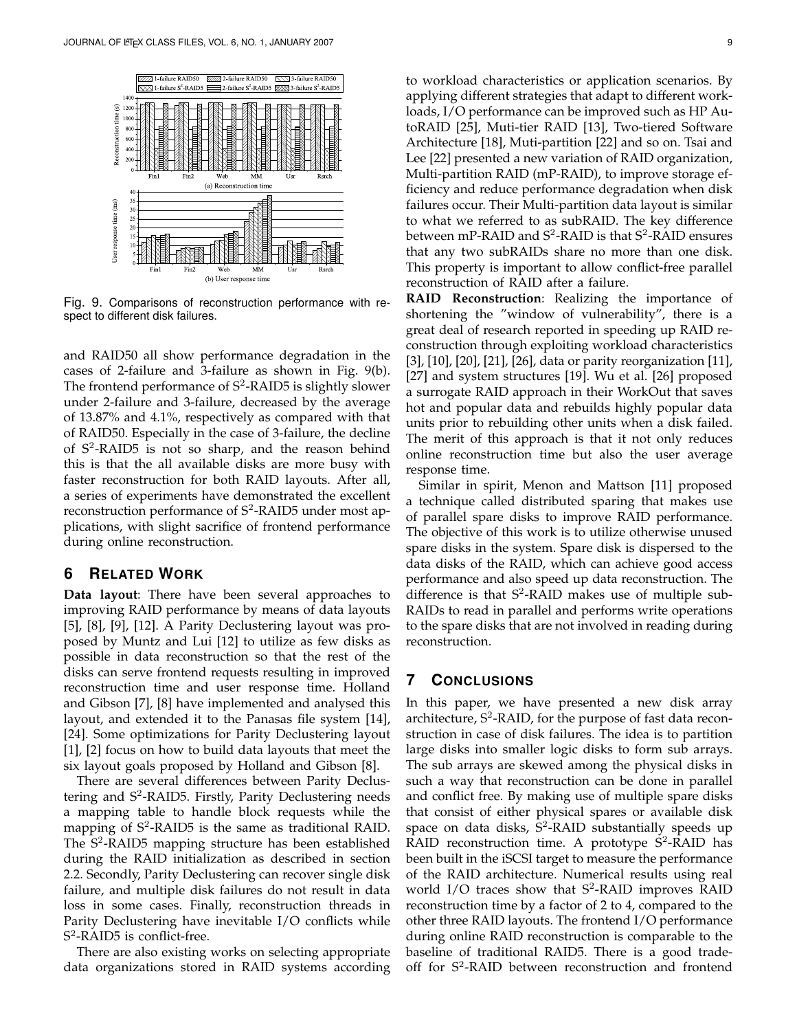

Fig. 9. Comparisons of reconstruction performance with respect to different disk failures.

and RAID50 all show performance degradation in the cases of 2-failure and 3-failure as shown in Fig. 9(b). The frontend performance of S<sup>2</sup>-RAID5 is slightly slower under 2-failure and 3-failure, decreased by the average of 13.87% and 4.1%, respectively as compared with that of RAID50. Especially in the case of 3-failure, the decline of S<sup>2</sup> -RAID5 is not so sharp, and the reason behind this is that the all available disks are more busy with faster reconstruction for both RAID layouts. After all, a series of experiments have demonstrated the excellent reconstruction performance of  $S^2$ -RAID5 under most applications, with slight sacrifice of frontend performance during online reconstruction.

#### **6 RELATED WORK**

**Data layout**: There have been several approaches to improving RAID performance by means of data layouts [5], [8], [9], [12]. A Parity Declustering layout was proposed by Muntz and Lui [12] to utilize as few disks as possible in data reconstruction so that the rest of the disks can serve frontend requests resulting in improved reconstruction time and user response time. Holland and Gibson [7], [8] have implemented and analysed this layout, and extended it to the Panasas file system [14], [24]. Some optimizations for Parity Declustering layout [1], [2] focus on how to build data layouts that meet the six layout goals proposed by Holland and Gibson [8].

There are several differences between Parity Declustering and S<sup>2</sup>-RAID5. Firstly, Parity Declustering needs a mapping table to handle block requests while the mapping of S<sup>2</sup>-RAID5 is the same as traditional RAID. The S<sup>2</sup>-RAID5 mapping structure has been established during the RAID initialization as described in section 2.2. Secondly, Parity Declustering can recover single disk failure, and multiple disk failures do not result in data loss in some cases. Finally, reconstruction threads in Parity Declustering have inevitable I/O conflicts while S 2 -RAID5 is conflict-free.

There are also existing works on selecting appropriate data organizations stored in RAID systems according

to workload characteristics or application scenarios. By applying different strategies that adapt to different workloads, I/O performance can be improved such as HP AutoRAID [25], Muti-tier RAID [13], Two-tiered Software Architecture [18], Muti-partition [22] and so on. Tsai and Lee [22] presented a new variation of RAID organization, Multi-partition RAID (mP-RAID), to improve storage efficiency and reduce performance degradation when disk failures occur. Their Multi-partition data layout is similar to what we referred to as subRAID. The key difference between mP-RAID and  $S^2$ -RAID is that  $S^2$ -RAID ensures that any two subRAIDs share no more than one disk. This property is important to allow conflict-free parallel reconstruction of RAID after a failure.

**RAID Reconstruction**: Realizing the importance of shortening the "window of vulnerability", there is a great deal of research reported in speeding up RAID reconstruction through exploiting workload characteristics [3], [10], [20], [21], [26], data or parity reorganization [11], [27] and system structures [19]. Wu et al. [26] proposed a surrogate RAID approach in their WorkOut that saves hot and popular data and rebuilds highly popular data units prior to rebuilding other units when a disk failed. The merit of this approach is that it not only reduces online reconstruction time but also the user average response time.

Similar in spirit, Menon and Mattson [11] proposed a technique called distributed sparing that makes use of parallel spare disks to improve RAID performance. The objective of this work is to utilize otherwise unused spare disks in the system. Spare disk is dispersed to the data disks of the RAID, which can achieve good access performance and also speed up data reconstruction. The difference is that  $S^2$ -RAID makes use of multiple sub-RAIDs to read in parallel and performs write operations to the spare disks that are not involved in reading during reconstruction.

# **7 CONCLUSIONS**

In this paper, we have presented a new disk array architecture, S<sup>2</sup>-RAID, for the purpose of fast data reconstruction in case of disk failures. The idea is to partition large disks into smaller logic disks to form sub arrays. The sub arrays are skewed among the physical disks in such a way that reconstruction can be done in parallel and conflict free. By making use of multiple spare disks that consist of either physical spares or available disk space on data disks,  $\bar{S}^2$ -RAID substantially speeds up RAID reconstruction time. A prototype  $S^2$ -RAID has been built in the iSCSI target to measure the performance of the RAID architecture. Numerical results using real world I/O traces show that S<sup>2</sup>-RAID improves RAID reconstruction time by a factor of 2 to 4, compared to the other three RAID layouts. The frontend I/O performance during online RAID reconstruction is comparable to the baseline of traditional RAID5. There is a good tradeoff for S<sup>2</sup>-RAID between reconstruction and frontend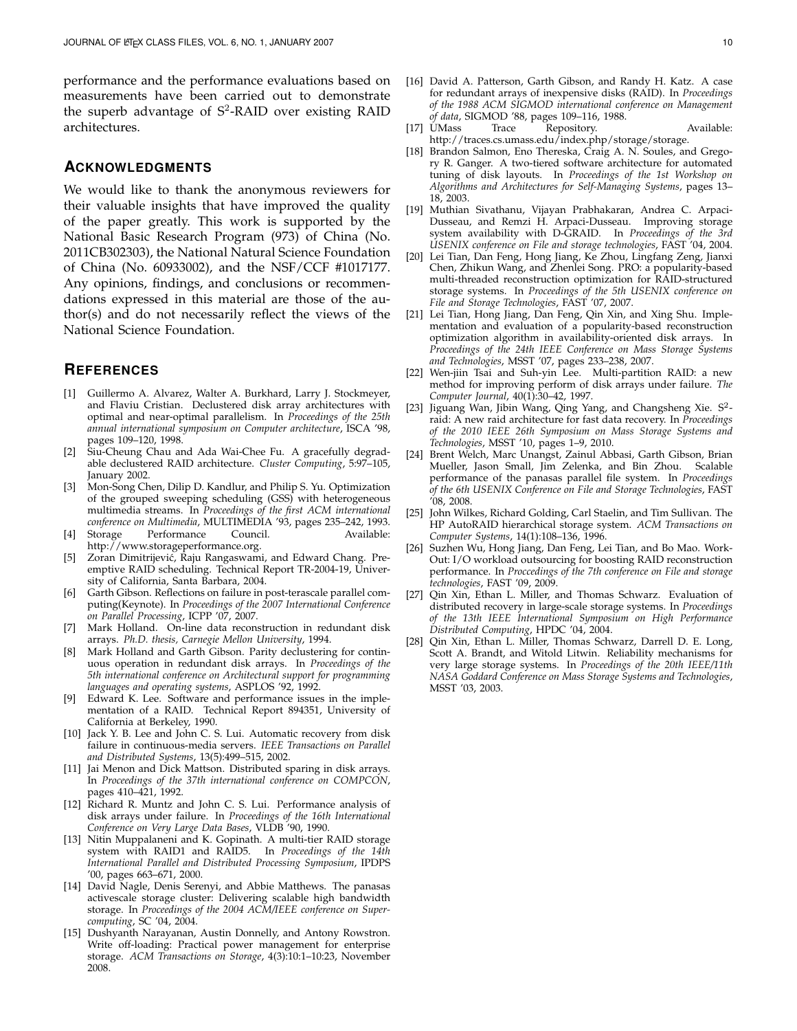performance and the performance evaluations based on measurements have been carried out to demonstrate the superb advantage of S<sup>2</sup>-RAID over existing RAID architectures.

## **ACKNOWLEDGMENTS**

We would like to thank the anonymous reviewers for their valuable insights that have improved the quality of the paper greatly. This work is supported by the National Basic Research Program (973) of China (No. 2011CB302303), the National Natural Science Foundation of China (No. 60933002), and the NSF/CCF #1017177. Any opinions, findings, and conclusions or recommendations expressed in this material are those of the author(s) and do not necessarily reflect the views of the National Science Foundation.

#### **REFERENCES**

- [1] Guillermo A. Alvarez, Walter A. Burkhard, Larry J. Stockmeyer, and Flaviu Cristian. Declustered disk array architectures with optimal and near-optimal parallelism. In *Proceedings of the 25th annual international symposium on Computer architecture*, ISCA '98, pages 109–120, 1998.
- [2] Siu-Cheung Chau and Ada Wai-Chee Fu. A gracefully degradable declustered RAID architecture. *Cluster Computing*, 5:97–105, January 2002.
- [3] Mon-Song Chen, Dilip D. Kandlur, and Philip S. Yu. Optimization of the grouped sweeping scheduling (GSS) with heterogeneous multimedia streams. In *Proceedings of the first ACM international conference on Multimedia*, MULTIMEDIA '93, pages 235–242, 1993.
- [4] Storage Performance Council. Available: http://www.storageperformance.org.
- [5] Zoran Dimitrijević, Raju Rangaswami, and Edward Chang. Preemptive RAID scheduling. Technical Report TR-2004-19, University of California, Santa Barbara, 2004.
- [6] Garth Gibson. Reflections on failure in post-terascale parallel computing(Keynote). In *Proceedings of the 2007 International Conference on Parallel Processing*, ICPP '07, 2007.
- Mark Holland. On-line data reconstruction in redundant disk arrays. *Ph.D. thesis, Carnegie Mellon University*, 1994.
- [8] Mark Holland and Garth Gibson. Parity declustering for continuous operation in redundant disk arrays. In *Proceedings of the 5th international conference on Architectural support for programming languages and operating systems*, ASPLOS '92, 1992.
- [9] Edward K. Lee. Software and performance issues in the implementation of a RAID. Technical Report 894351, University of California at Berkeley, 1990.
- [10] Jack Y. B. Lee and John C. S. Lui. Automatic recovery from disk failure in continuous-media servers. *IEEE Transactions on Parallel and Distributed Systems*, 13(5):499–515, 2002.
- [11] Jai Menon and Dick Mattson. Distributed sparing in disk arrays. In *Proceedings of the 37th international conference on COMPCON*, pages 410–421, 1992.
- [12] Richard R. Muntz and John C. S. Lui. Performance analysis of disk arrays under failure. In *Proceedings of the 16th International Conference on Very Large Data Bases*, VLDB '90, 1990.
- [13] Nitin Muppalaneni and K. Gopinath. A multi-tier RAID storage system with RAID1 and RAID5. In *Proceedings of the 14th International Parallel and Distributed Processing Symposium*, IPDPS '00, pages 663–671, 2000.
- [14] David Nagle, Denis Serenyi, and Abbie Matthews. The panasas activescale storage cluster: Delivering scalable high bandwidth storage. In *Proceedings of the 2004 ACM/IEEE conference on Supercomputing*, SC '04, 2004.
- [15] Dushyanth Narayanan, Austin Donnelly, and Antony Rowstron. Write off-loading: Practical power management for enterprise storage. *ACM Transactions on Storage*, 4(3):10:1–10:23, November 2008.
- [16] David A. Patterson, Garth Gibson, and Randy H. Katz. A case for redundant arrays of inexpensive disks (RAID). In *Proceedings of the 1988 ACM SIGMOD international conference on Management of data*, SIGMOD '88, pages 109–116, 1988.
- [17] UMass Trace Repository. Available: http://traces.cs.umass.edu/index.php/storage/storage.
- [18] Brandon Salmon, Eno Thereska, Craig A. N. Soules, and Gregory R. Ganger. A two-tiered software architecture for automated tuning of disk layouts. In *Proceedings of the 1st Workshop on Algorithms and Architectures for Self-Managing Systems*, pages 13– 18, 2003.
- [19] Muthian Sivathanu, Vijayan Prabhakaran, Andrea C. Arpaci-Dusseau, and Remzi H. Arpaci-Dusseau. Improving storage system availability with D-GRAID. In *Proceedings of the 3rd USENIX conference on File and storage technologies*, FAST '04, 2004.
- [20] Lei Tian, Dan Feng, Hong Jiang, Ke Zhou, Lingfang Zeng, Jianxi Chen, Zhikun Wang, and Zhenlei Song. PRO: a popularity-based multi-threaded reconstruction optimization for RAID-structured storage systems. In *Proceedings of the 5th USENIX conference on File and Storage Technologies*, FAST '07, 2007.
- [21] Lei Tian, Hong Jiang, Dan Feng, Qin Xin, and Xing Shu. Implementation and evaluation of a popularity-based reconstruction optimization algorithm in availability-oriented disk arrays. In *Proceedings of the 24th IEEE Conference on Mass Storage Systems and Technologies*, MSST '07, pages 233–238, 2007.
- [22] Wen-jiin Tsai and Suh-yin Lee. Multi-partition RAID: a new method for improving perform of disk arrays under failure. *The Computer Journal*, 40(1):30–42, 1997.
- [23] Jiguang Wan, Jibin Wang, Qing Yang, and Changsheng Xie. S<sup>2</sup>raid: A new raid architecture for fast data recovery. In *Proceedings of the 2010 IEEE 26th Symposium on Mass Storage Systems and Technologies*, MSST '10, pages 1–9, 2010.
- [24] Brent Welch, Marc Unangst, Zainul Abbasi, Garth Gibson, Brian Mueller, Jason Small, Jim Zelenka, and Bin Zhou. Scalable performance of the panasas parallel file system. In *Proceedings of the 6th USENIX Conference on File and Storage Technologies*, FAST '08, 2008.
- [25] John Wilkes, Richard Golding, Carl Staelin, and Tim Sullivan. The HP AutoRAID hierarchical storage system. *ACM Transactions on Computer Systems*, 14(1):108–136, 1996.
- [26] Suzhen Wu, Hong Jiang, Dan Feng, Lei Tian, and Bo Mao. Work-Out: I/O workload outsourcing for boosting RAID reconstruction performance. In *Proccedings of the 7th conference on File and storage technologies*, FAST '09, 2009.
- [27] Qin Xin, Ethan L. Miller, and Thomas Schwarz. Evaluation of distributed recovery in large-scale storage systems. In *Proceedings of the 13th IEEE International Symposium on High Performance Distributed Computing*, HPDC '04, 2004.
- [28] Qin Xin, Ethan L. Miller, Thomas Schwarz, Darrell D. E. Long, Scott A. Brandt, and Witold Litwin. Reliability mechanisms for very large storage systems. In *Proceedings of the 20th IEEE/11th NASA Goddard Conference on Mass Storage Systems and Technologies*, MSST '03, 2003.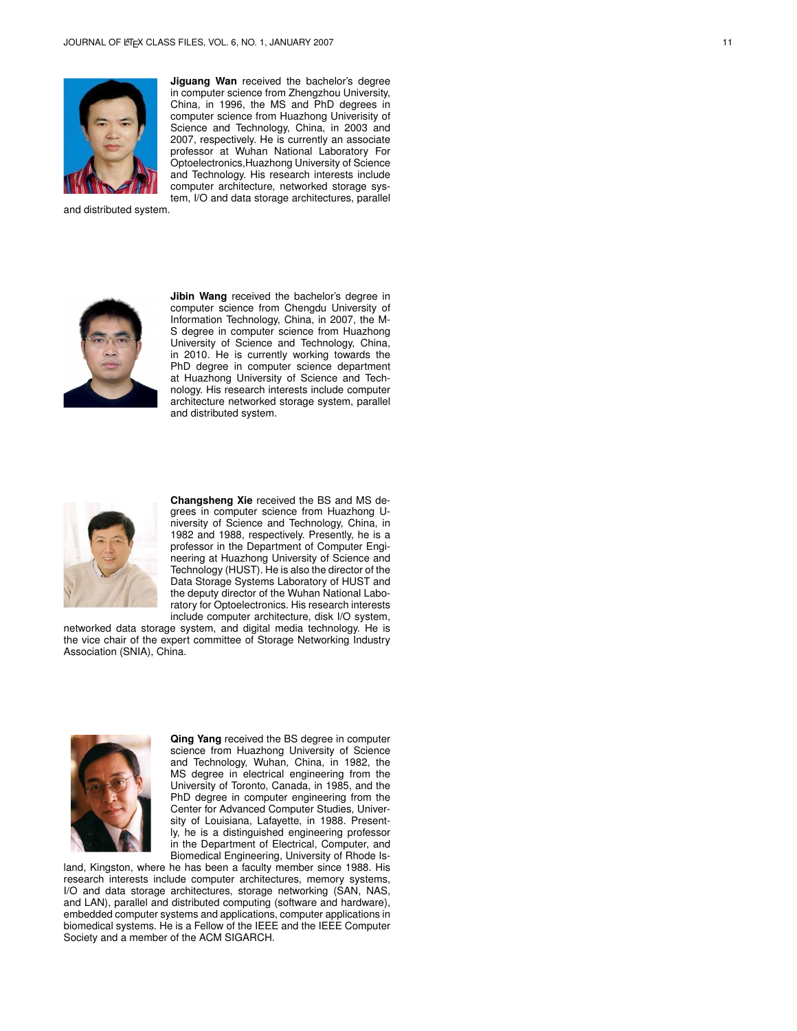

**Jiguang Wan** received the bachelor's degree in computer science from Zhengzhou University, China, in 1996, the MS and PhD degrees in computer science from Huazhong Univerisity of Science and Technology, China, in 2003 and 2007, respectively. He is currently an associate professor at Wuhan National Laboratory For Optoelectronics,Huazhong University of Science and Technology. His research interests include computer architecture, networked storage system, I/O and data storage architectures, parallel

and distributed system.



**Jibin Wang** received the bachelor's degree in computer science from Chengdu University of Information Technology, China, in 2007, the M-S degree in computer science from Huazhong University of Science and Technology, China, in 2010. He is currently working towards the PhD degree in computer science department at Huazhong University of Science and Technology. His research interests include computer architecture networked storage system, parallel and distributed system.



**Changsheng Xie** received the BS and MS degrees in computer science from Huazhong University of Science and Technology, China, in 1982 and 1988, respectively. Presently, he is a professor in the Department of Computer Engineering at Huazhong University of Science and Technology (HUST). He is also the director of the Data Storage Systems Laboratory of HUST and the deputy director of the Wuhan National Laboratory for Optoelectronics. His research interests include computer architecture, disk I/O system,

networked data storage system, and digital media technology. He is the vice chair of the expert committee of Storage Networking Industry Association (SNIA), China.



**Qing Yang** received the BS degree in computer science from Huazhong University of Science and Technology, Wuhan, China, in 1982, the MS degree in electrical engineering from the University of Toronto, Canada, in 1985, and the PhD degree in computer engineering from the Center for Advanced Computer Studies, University of Louisiana, Lafayette, in 1988. Presently, he is a distinguished engineering professor in the Department of Electrical, Computer, and Biomedical Engineering, University of Rhode Is-

land, Kingston, where he has been a faculty member since 1988. His research interests include computer architectures, memory systems, I/O and data storage architectures, storage networking (SAN, NAS, and LAN), parallel and distributed computing (software and hardware), embedded computer systems and applications, computer applications in biomedical systems. He is a Fellow of the IEEE and the IEEE Computer Society and a member of the ACM SIGARCH.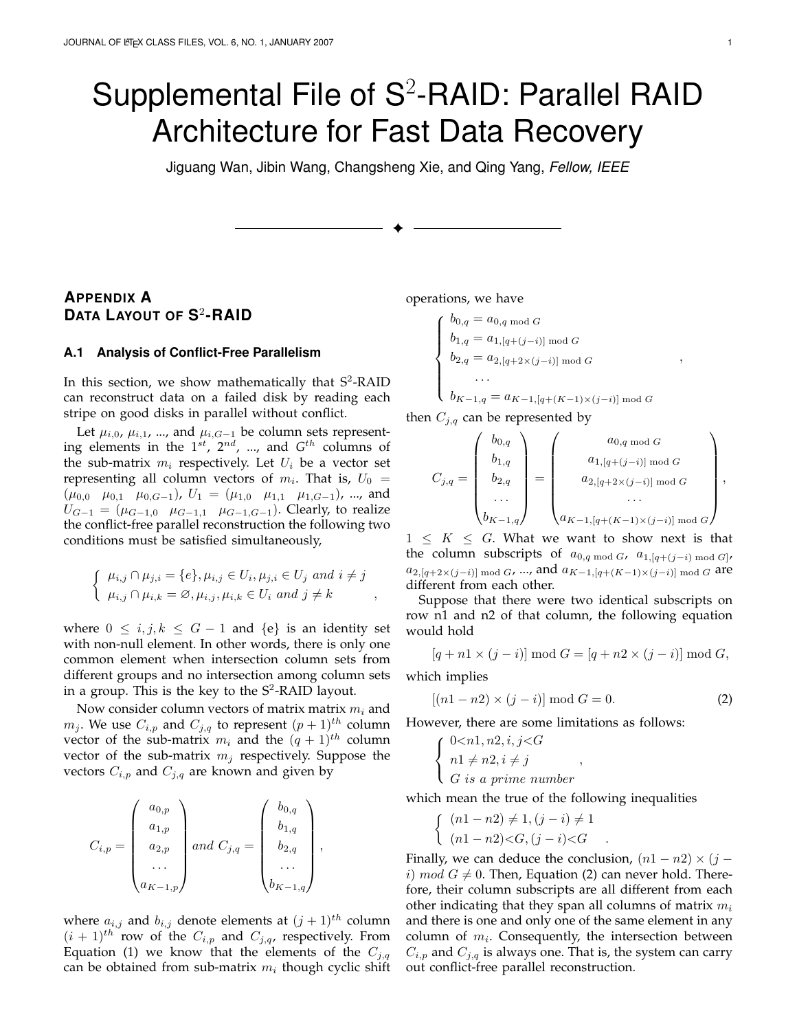# Supplemental File of  $S^2$ -RAID: Parallel RAID Architecture for Fast Data Recovery

Jiguang Wan, Jibin Wang, Changsheng Xie, and Qing Yang, *Fellow, IEEE*

✦

# **APPENDIX A DATA LAYOUT OF S** 2 **-RAID**

#### **A.1 Analysis of Conflict-Free Parallelism**

In this section, we show mathematically that  $S^2$ -RAID can reconstruct data on a failed disk by reading each stripe on good disks in parallel without conflict.

Let  $\mu_{i,0}, \mu_{i,1}, \ldots$ , and  $\mu_{i,G-1}$  be column sets representing elements in the 1*st*, 2*nd*, ..., and *G th* columns of the sub-matrix  $m_i$  respectively. Let  $U_i$  be a vector set representing all column vectors of  $m_i$ . That is,  $U_0 =$  $(\mu_{0,0} \mu_{0,1} \mu_{0,G-1}), U_1 = (\mu_{1,0} \mu_{1,1} \mu_{1,G-1}), ...,$  and  $U_{G-1} = (\mu_{G-1,0}, \mu_{G-1,1}, \mu_{G-1,G-1})$ . Clearly, to realize the conflict-free parallel reconstruction the following two conditions must be satisfied simultaneously,

$$
\begin{cases} \mu_{i,j} \cap \mu_{j,i} = \{e\}, \mu_{i,j} \in U_i, \mu_{j,i} \in U_j \text{ and } i \neq j \\ \mu_{i,j} \cap \mu_{i,k} = \emptyset, \mu_{i,j}, \mu_{i,k} \in U_i \text{ and } j \neq k \end{cases}
$$

where  $0 ≤ i, j, k ≤ G − 1$  and  ${e}$  is an identity set with non-null element. In other words, there is only one common element when intersection column sets from different groups and no intersection among column sets in a group. This is the key to the  $S^2$ -RAID layout.

Now consider column vectors of matrix matrix *m<sup>i</sup>* and  $m_j$ . We use  $C_{i,p}$  and  $C_{j,q}$  to represent  $(p+1)$ <sup>th</sup> column vector of the sub-matrix  $m_i$  and the  $(q + 1)^{th}$  column vector of the sub-matrix  $m_j$  respectively. Suppose the vectors  $C_{i,p}$  and  $C_{j,q}$  are known and given by

$$
C_{i,p} = \begin{pmatrix} a_{0,p} \\ a_{1,p} \\ a_{2,p} \\ \dots \\ a_{K-1,p} \end{pmatrix} and C_{j,q} = \begin{pmatrix} b_{0,q} \\ b_{1,q} \\ b_{2,q} \\ \dots \\ b_{K-1,q} \end{pmatrix},
$$

where  $a_{i,j}$  and  $b_{i,j}$  denote elements at  $(j + 1)^{th}$  column  $(i + 1)$ <sup>th</sup> row of the  $C_{i,p}$  and  $C_{j,q}$ , respectively. From Equation (1) we know that the elements of the  $C_{i,q}$ can be obtained from sub-matrix  $m_i$  though cyclic shift

operations, we have

$$
\begin{cases}\nb_{0,q} = a_{0,q \mod G} \\
b_{1,q} = a_{1,[q+(j-i)] \mod G} \\
b_{2,q} = a_{2,[q+2\times (j-i)] \mod G} \\
& \dots \\
b_{K-1,q} = a_{K-1,[q+(K-1)\times (j-i)] \mod G}\n\end{cases}
$$

then *Cj,q* can be represented by

$$
C_{j,q} = \begin{pmatrix} b_{0,q} \\ b_{1,q} \\ b_{2,q} \\ \cdots \\ b_{K-1,q} \end{pmatrix} = \begin{pmatrix} a_{0,q \bmod G} \\ a_{1,[q+(j-i)] \bmod G} \\ a_{2,[q+2\times (j-i)] \bmod G} \\ \cdots \\ a_{K-1,[q+(K-1)\times (j-i)] \bmod G} \end{pmatrix},
$$

 $1 \leq K \leq G$ . What we want to show next is that the column subscripts of  $a_{0,q \bmod G}$ ,  $a_{1,[q+(j-i) \bmod G]}$ , *a*<sub>2</sub>*,*[*q*+2*×*(*j*−*i*)] mod *G*, ..., and *a*<sub>*K*−1*,*[*q*+(*K*−1)*×*(*j*−*i*)] mod *G* are</sub> different from each other.

Suppose that there were two identical subscripts on row n1 and n2 of that column, the following equation would hold

$$
[q + n1 \times (j - i)] \bmod G = [q + n2 \times (j - i)] \bmod G,
$$

which implies

$$
[(n1 - n2) \times (j - i)] \bmod G = 0.
$$
 (2)

However, there are some limitations as follows:

$$
\begin{cases}\n0 < n, n2, i, j < G \\
n1 \neq n2, i \neq j \\
G \text{ is a prime number}\n\end{cases}
$$

which mean the true of the following inequalities

$$
\begin{cases} (n1 - n2) \neq 1, (j - i) \neq 1 \\ (n1 - n2) < G, (j - i) < G \end{cases}
$$

Finally, we can deduce the conclusion,  $(n1 - n2) \times (j$ *i*)  $mod\ G \neq 0$ . Then, Equation (2) can never hold. Therefore, their column subscripts are all different from each other indicating that they span all columns of matrix *m<sup>i</sup>* and there is one and only one of the same element in any column of *m<sup>i</sup>* . Consequently, the intersection between  $C_{i,p}$  and  $C_{i,q}$  is always one. That is, the system can carry out conflict-free parallel reconstruction.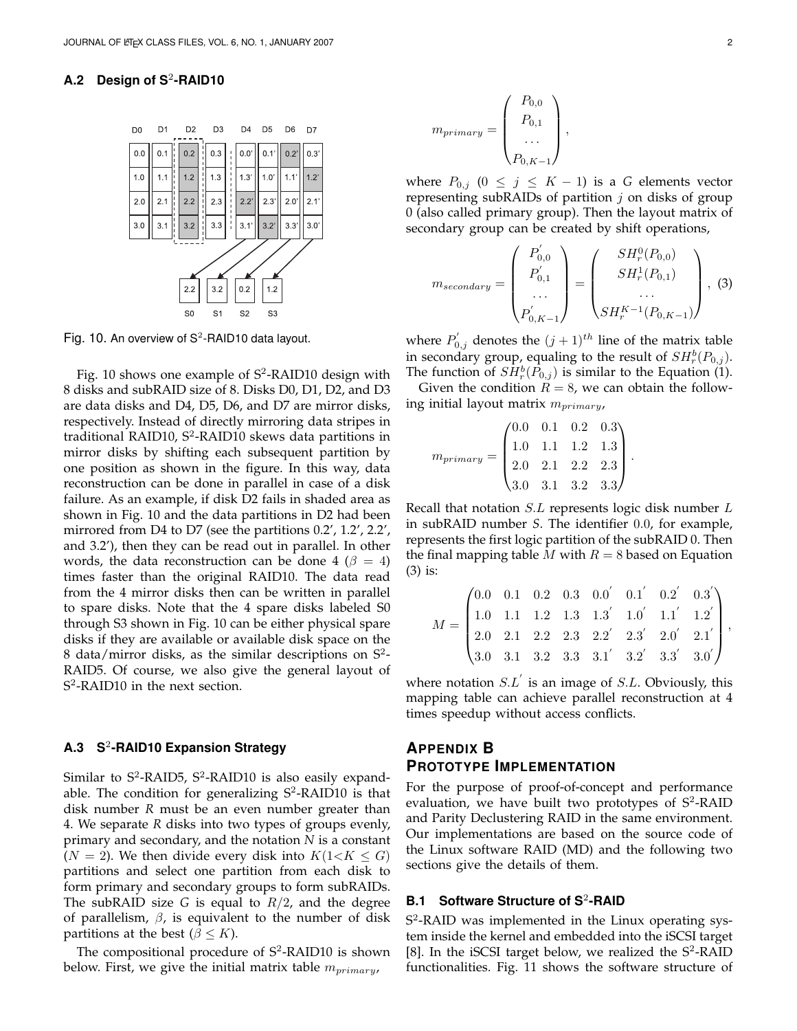## **A.2 Design of S**<sup>2</sup> **-RAID10**



Fig. 10. An overview of  $S^2$ -RAID10 data layout.

Fig. 10 shows one example of S<sup>2</sup>-RAID10 design with 8 disks and subRAID size of 8. Disks D0, D1, D2, and D3 are data disks and D4, D5, D6, and D7 are mirror disks, respectively. Instead of directly mirroring data stripes in traditional RAID10, S<sup>2</sup>-RAID10 skews data partitions in mirror disks by shifting each subsequent partition by one position as shown in the figure. In this way, data reconstruction can be done in parallel in case of a disk failure. As an example, if disk D2 fails in shaded area as shown in Fig. 10 and the data partitions in D2 had been mirrored from D4 to D7 (see the partitions 0.2', 1.2', 2.2', and 3.2'), then they can be read out in parallel. In other words, the data reconstruction can be done 4 ( $\beta = 4$ ) times faster than the original RAID10. The data read from the 4 mirror disks then can be written in parallel to spare disks. Note that the 4 spare disks labeled S0 through S3 shown in Fig. 10 can be either physical spare disks if they are available or available disk space on the 8 data/mirror disks, as the similar descriptions on  $S^2$ -RAID5. Of course, we also give the general layout of S<sup>2</sup>-RAID10 in the next section.

# **A.3 S**<sup>2</sup> **-RAID10 Expansion Strategy**

Similar to S<sup>2</sup>-RAID5, S<sup>2</sup>-RAID10 is also easily expandable. The condition for generalizing  $S^2$ -RAID10 is that disk number *R* must be an even number greater than 4. We separate *R* disks into two types of groups evenly, primary and secondary, and the notation *N* is a constant  $(N = 2)$ . We then divide every disk into  $K(1 < K \leq G)$ partitions and select one partition from each disk to form primary and secondary groups to form subRAIDs. The subRAID size *G* is equal to *R/*2, and the degree of parallelism, *β*, is equivalent to the number of disk partitions at the best ( $\beta \leq K$ ).

The compositional procedure of  $S^2$ -RAID10 is shown below. First, we give the initial matrix table *mprimary*,

$$
m_{primary} = \begin{pmatrix} P_{0,0} \\ P_{0,1} \\ \dots \\ P_{0,K-1} \end{pmatrix},
$$

where  $P_{0,j}$  ( $0 \leq j \leq K-1$ ) is a *G* elements vector representing subRAIDs of partition *j* on disks of group 0 (also called primary group). Then the layout matrix of secondary group can be created by shift operations,

$$
m_{secondary} = \begin{pmatrix} P'_{0,0} \\ P'_{0,1} \\ \dots \\ P'_{0,K-1} \end{pmatrix} = \begin{pmatrix} SH_r^0(P_{0,0}) \\ SH_r^1(P_{0,1}) \\ \dots \\ SH_r^{K-1}(P_{0,K-1}) \end{pmatrix}, (3)
$$

where  $P'_{0,j}$  denotes the  $(j+1)^{th}$  line of the matrix table in secondary group, equaling to the result of  $SH_r^b(P_{0,j})$ . The function of  $\tilde{SH}^b_r(\tilde{P}_{0,j})$  is similar to the Equation (1).

Given the condition  $R = 8$ , we can obtain the following initial layout matrix *mprimary*,

$$
m_{primary} = \begin{pmatrix} 0.0 & 0.1 & 0.2 & 0.3 \\ 1.0 & 1.1 & 1.2 & 1.3 \\ 2.0 & 2.1 & 2.2 & 2.3 \\ 3.0 & 3.1 & 3.2 & 3.3 \end{pmatrix}.
$$

Recall that notation *S.L* represents logic disk number *L* in subRAID number *S*. The identifier 0*.*0, for example, represents the first logic partition of the subRAID 0. Then the final mapping table *M* with  $R = 8$  based on Equation (3) is:

$$
M = \begin{pmatrix} 0.0 & 0.1 & 0.2 & 0.3 & 0.0' & 0.1' & 0.2' & 0.3' \\ 1.0 & 1.1 & 1.2 & 1.3 & 1.3' & 1.0' & 1.1' & 1.2' \\ 2.0 & 2.1 & 2.2 & 2.3 & 2.2' & 2.3' & 2.0' & 2.1' \\ 3.0 & 3.1 & 3.2 & 3.3 & 3.1' & 3.2' & 3.3' & 3.0' \end{pmatrix},
$$

where notation *S.L′* is an image of *S.L*. Obviously, this mapping table can achieve parallel reconstruction at 4 times speedup without access conflicts.

# **APPENDIX B PROTOTYPE IMPLEMENTATION**

For the purpose of proof-of-concept and performance evaluation, we have built two prototypes of S<sup>2</sup>-RAID and Parity Declustering RAID in the same environment. Our implementations are based on the source code of the Linux software RAID (MD) and the following two sections give the details of them.

## **B.1** Software Structure of S<sup>2</sup>-RAID

S 2 -RAID was implemented in the Linux operating system inside the kernel and embedded into the iSCSI target [8]. In the iSCSI target below, we realized the  $S^2$ -RAID functionalities. Fig. 11 shows the software structure of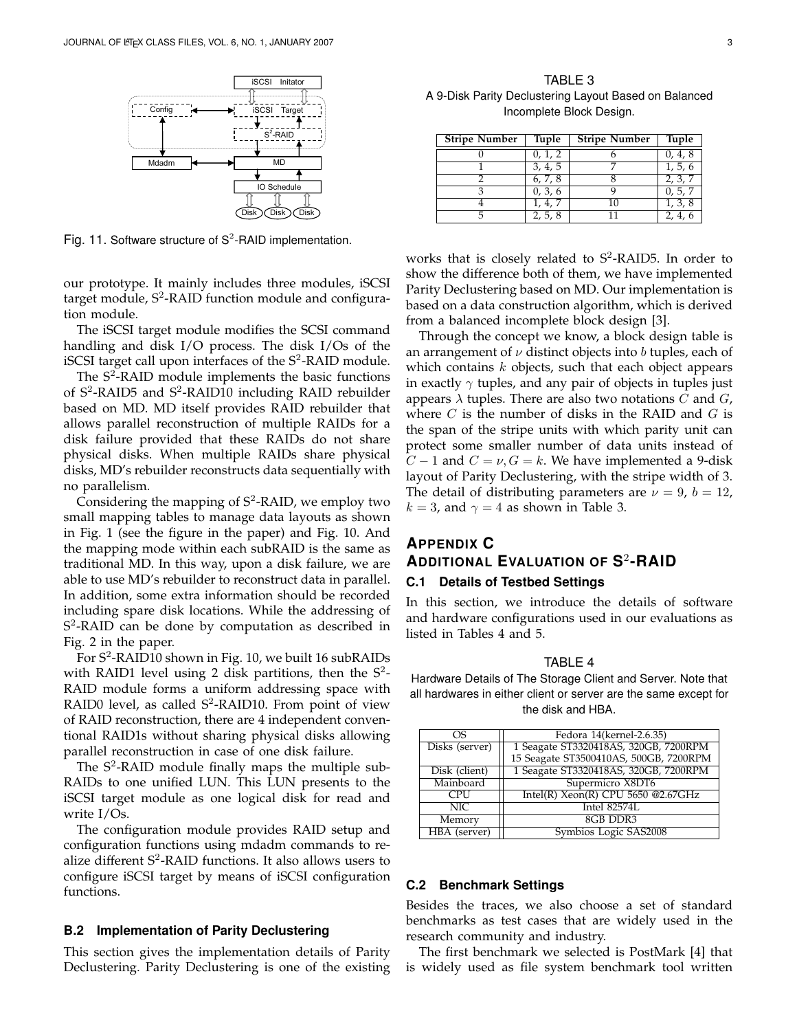

Fig. 11. Software structure of  $S^2$ -RAID implementation.

our prototype. It mainly includes three modules, iSCSI target module, S<sup>2</sup>-RAID function module and configuration module.

The iSCSI target module modifies the SCSI command handling and disk I/O process. The disk I/Os of the iSCSI target call upon interfaces of the  $S^2$ -RAID module.

The  $S^2$ -RAID module implements the basic functions of S<sup>2</sup>-RAID5 and S<sup>2</sup>-RAID10 including RAID rebuilder based on MD. MD itself provides RAID rebuilder that allows parallel reconstruction of multiple RAIDs for a disk failure provided that these RAIDs do not share physical disks. When multiple RAIDs share physical disks, MD's rebuilder reconstructs data sequentially with no parallelism.

Considering the mapping of  $S^2$ -RAID, we employ two small mapping tables to manage data layouts as shown in Fig. 1 (see the figure in the paper) and Fig. 10. And the mapping mode within each subRAID is the same as traditional MD. In this way, upon a disk failure, we are able to use MD's rebuilder to reconstruct data in parallel. In addition, some extra information should be recorded including spare disk locations. While the addressing of S 2 -RAID can be done by computation as described in Fig. 2 in the paper.

For S<sup>2</sup>-RAID10 shown in Fig. 10, we built 16 subRAIDs with RAID1 level using 2 disk partitions, then the  $S^2$ -RAID module forms a uniform addressing space with RAID0 level, as called S<sup>2</sup>-RAID10. From point of view of RAID reconstruction, there are 4 independent conventional RAID1s without sharing physical disks allowing parallel reconstruction in case of one disk failure.

The  $S^2$ -RAID module finally maps the multiple sub-RAIDs to one unified LUN. This LUN presents to the iSCSI target module as one logical disk for read and write I/Os.

The configuration module provides RAID setup and configuration functions using mdadm commands to realize different  $S^2$ -RAID functions. It also allows users to configure iSCSI target by means of iSCSI configuration functions.

#### **B.2 Implementation of Parity Declustering**

This section gives the implementation details of Parity Declustering. Parity Declustering is one of the existing

TABLE 3 A 9-Disk Parity Declustering Layout Based on Balanced Incomplete Block Design.

| <b>Stripe Number</b> | <b>Tuple</b> | <b>Stripe Number</b> | <b>Tuple</b> |
|----------------------|--------------|----------------------|--------------|
|                      | 0, 1, 2      |                      | 0, 4, 8      |
|                      | 3, 4, 5      |                      | 1, 5, 6      |
|                      | 6, 7, 8      |                      | 2, 3, 7      |
|                      | 0, 3, 6      |                      | 0, 5, 7      |
|                      | 1, 4, 7      | 10                   | 1, 3, 8      |
| 5                    | 2, 5, 8      |                      | 2, 4,        |

works that is closely related to  $S^2$ -RAID5. In order to show the difference both of them, we have implemented Parity Declustering based on MD. Our implementation is based on a data construction algorithm, which is derived from a balanced incomplete block design [3].

Through the concept we know, a block design table is an arrangement of *ν* distinct objects into *b* tuples, each of which contains *k* objects, such that each object appears in exactly *γ* tuples, and any pair of objects in tuples just appears *λ* tuples. There are also two notations *C* and *G*, where *C* is the number of disks in the RAID and *G* is the span of the stripe units with which parity unit can protect some smaller number of data units instead of *C* − 1 and *C* = *ν*, *G* = *k*. We have implemented a 9-disk layout of Parity Declustering, with the stripe width of 3. The detail of distributing parameters are  $\nu = 9$ ,  $b = 12$ ,  $k = 3$ , and  $\gamma = 4$  as shown in Table 3.

# **APPENDIX C ADDITIONAL EVALUATION OF S** 2 **-RAID C.1 Details of Testbed Settings**

In this section, we introduce the details of software and hardware configurations used in our evaluations as listed in Tables 4 and 5.

#### TABLE 4

Hardware Details of The Storage Client and Server. Note that all hardwares in either client or server are the same except for the disk and HBA.

| OS.            | Fedora 14(kernel-2.6.35)               |
|----------------|----------------------------------------|
| Disks (server) | 1 Seagate ST3320418AS, 320GB, 7200RPM  |
|                | 15 Seagate ST3500410AS, 500GB, 7200RPM |
| Disk (client)  | 1 Seagate ST3320418AS, 320GB, 7200RPM  |
| Mainboard      | Supermicro X8DT6                       |
| CPU            | Intel(R) $Xeon(R)$ CPU 5650 @2.67GHz   |
| NIC            | Intel 82574L                           |
| Memory         | 8GB DDR3                               |
| HBA (server)   | Symbios Logic SAS2008                  |

#### **C.2 Benchmark Settings**

Besides the traces, we also choose a set of standard benchmarks as test cases that are widely used in the research community and industry.

The first benchmark we selected is PostMark [4] that is widely used as file system benchmark tool written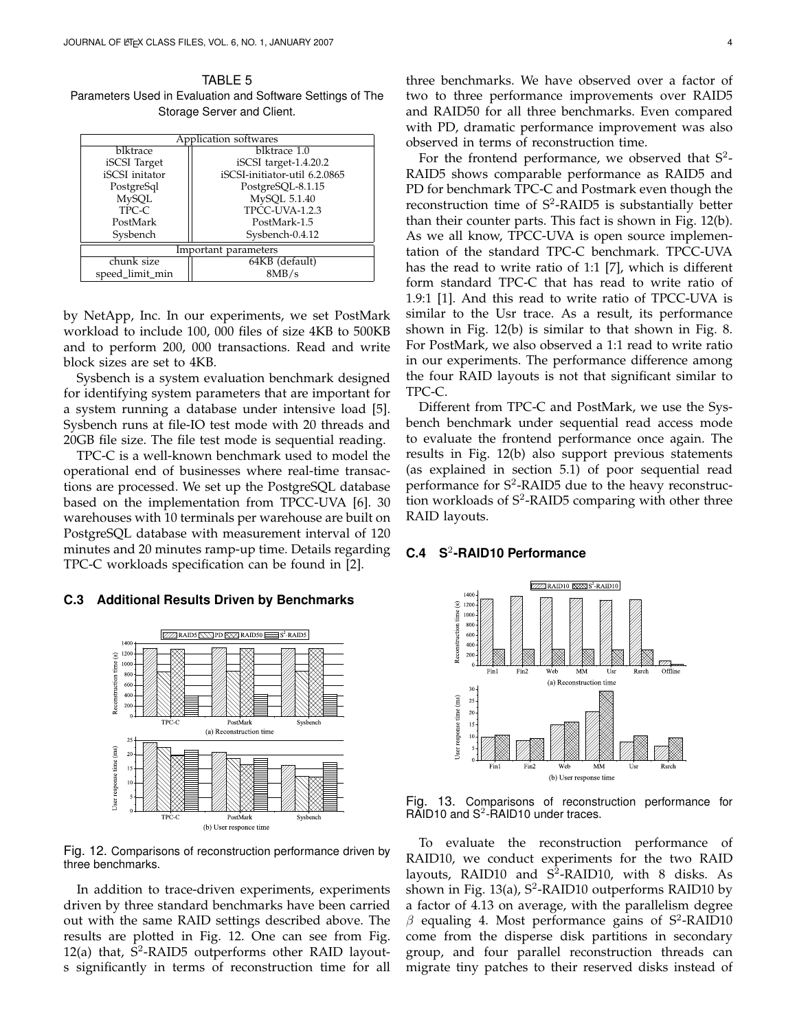TABLE 5 Parameters Used in Evaluation and Software Settings of The Storage Server and Client.

| Application softwares |                               |  |  |  |
|-----------------------|-------------------------------|--|--|--|
| blktrace              | blktrace 1.0                  |  |  |  |
| iSCSI Target          | iSCSI target-1.4.20.2         |  |  |  |
| iSCSI initator        | iSCSI-initiator-util 6.2.0865 |  |  |  |
| PostgreSql            | PostgreSQL-8.1.15             |  |  |  |
| <b>MySQL</b>          | MySQL 5.1.40                  |  |  |  |
| TPC-C                 | <b>TPCC-UVA-1.2.3</b>         |  |  |  |
| PostMark              | PostMark-1.5                  |  |  |  |
| Sysbench              | Sysbench-0.4.12               |  |  |  |
| Important parameters  |                               |  |  |  |
| chunk size            | 64KB (default)                |  |  |  |
| speed_limit_min       | 8MB/s                         |  |  |  |

by NetApp, Inc. In our experiments, we set PostMark workload to include 100, 000 files of size 4KB to 500KB and to perform 200, 000 transactions. Read and write block sizes are set to 4KB.

Sysbench is a system evaluation benchmark designed for identifying system parameters that are important for a system running a database under intensive load [5]. Sysbench runs at file-IO test mode with 20 threads and 20GB file size. The file test mode is sequential reading.

TPC-C is a well-known benchmark used to model the operational end of businesses where real-time transactions are processed. We set up the PostgreSQL database based on the implementation from TPCC-UVA [6]. 30 warehouses with 10 terminals per warehouse are built on PostgreSQL database with measurement interval of 120 minutes and 20 minutes ramp-up time. Details regarding TPC-C workloads specification can be found in [2].

#### **C.3 Additional Results Driven by Benchmarks**



Fig. 12. Comparisons of reconstruction performance driven by three benchmarks.

In addition to trace-driven experiments, experiments driven by three standard benchmarks have been carried out with the same RAID settings described above. The results are plotted in Fig. 12. One can see from Fig. 12(a) that,  $\bar{S}^2$ -RAID5 outperforms other RAID layouts significantly in terms of reconstruction time for all three benchmarks. We have observed over a factor of two to three performance improvements over RAID5 and RAID50 for all three benchmarks. Even compared with PD, dramatic performance improvement was also observed in terms of reconstruction time.

For the frontend performance, we observed that  $S^2$ -RAID5 shows comparable performance as RAID5 and PD for benchmark TPC-C and Postmark even though the reconstruction time of  $S^2$ -RAID5 is substantially better than their counter parts. This fact is shown in Fig. 12(b). As we all know, TPCC-UVA is open source implementation of the standard TPC-C benchmark. TPCC-UVA has the read to write ratio of 1:1 [7], which is different form standard TPC-C that has read to write ratio of 1.9:1 [1]. And this read to write ratio of TPCC-UVA is similar to the Usr trace. As a result, its performance shown in Fig. 12(b) is similar to that shown in Fig. 8. For PostMark, we also observed a 1:1 read to write ratio in our experiments. The performance difference among the four RAID layouts is not that significant similar to TPC-C.

Different from TPC-C and PostMark, we use the Sysbench benchmark under sequential read access mode to evaluate the frontend performance once again. The results in Fig. 12(b) also support previous statements (as explained in section 5.1) of poor sequential read performance for S<sup>2</sup>-RAID5 due to the heavy reconstruction workloads of S<sup>2</sup>-RAID5 comparing with other three RAID layouts.

## **C.4 S**<sup>2</sup> **-RAID10 Performance**



Fig. 13. Comparisons of reconstruction performance for  $RAD10$  and  $S^2-RAD10$  under traces.

To evaluate the reconstruction performance of RAID10, we conduct experiments for the two RAID layouts, RAID10 and  $S^2$ -RAID10, with 8 disks. As shown in Fig. 13(a), S<sup>2</sup>-RAID10 outperforms RAID10 by a factor of 4.13 on average, with the parallelism degree  $\beta$  equaling 4. Most performance gains of S<sup>2</sup>-RAID10 come from the disperse disk partitions in secondary group, and four parallel reconstruction threads can migrate tiny patches to their reserved disks instead of